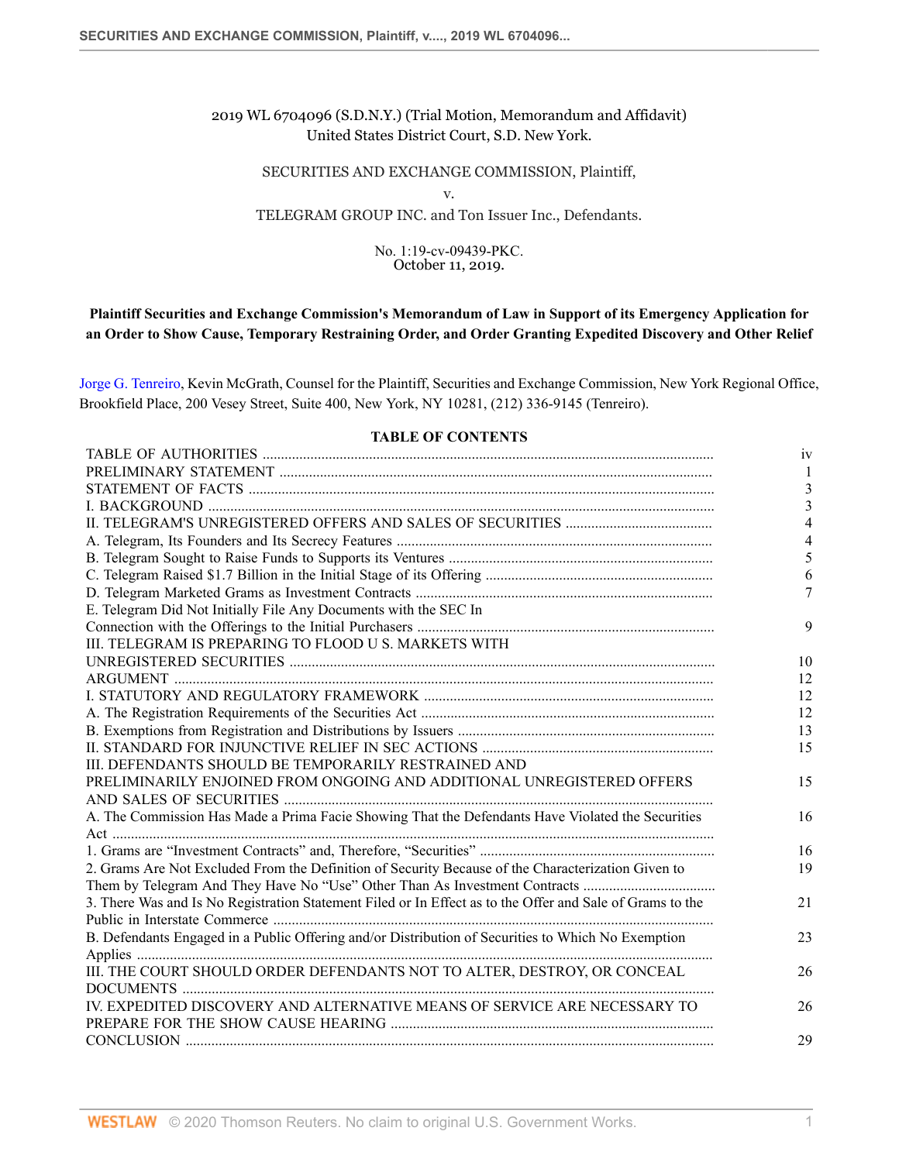# 2019 WL 6704096 (S.D.N.Y.) (Trial Motion, Memorandum and Affidavit) United States District Court, S.D. New York.

#### SECURITIES AND EXCHANGE COMMISSION, Plaintiff,

v.

#### TELEGRAM GROUP INC. and Ton Issuer Inc., Defendants.

No. 1:19-cv-09439-PKC. October 11, 2019.

# **Plaintiff Securities and Exchange Commission's Memorandum of Law in Support of its Emergency Application for an Order to Show Cause, Temporary Restraining Order, and Order Granting Expedited Discovery and Other Relief**

[Jorge G. Tenreiro](http://www.westlaw.com/Link/Document/FullText?findType=h&pubNum=176284&cite=0374749401&originatingDoc=Ifbece8101b6711eab410ab1c3b910894&refType=RQ&originationContext=document&vr=3.0&rs=cblt1.0&transitionType=DocumentItem&contextData=(sc.RelatedInfo)), Kevin McGrath, Counsel for the Plaintiff, Securities and Exchange Commission, New York Regional Office, Brookfield Place, 200 Vesey Street, Suite 400, New York, NY 10281, (212) 336-9145 (Tenreiro).

#### **TABLE OF CONTENTS**

|                                                                                                           | iv             |
|-----------------------------------------------------------------------------------------------------------|----------------|
|                                                                                                           | 1              |
|                                                                                                           | 3              |
|                                                                                                           | $\overline{3}$ |
|                                                                                                           | $\overline{4}$ |
|                                                                                                           | 4              |
|                                                                                                           | 5              |
|                                                                                                           | 6              |
|                                                                                                           | 7              |
| E. Telegram Did Not Initially File Any Documents with the SEC In                                          |                |
|                                                                                                           | 9              |
| III. TELEGRAM IS PREPARING TO FLOOD U S. MARKETS WITH                                                     |                |
|                                                                                                           | 10             |
|                                                                                                           | 12             |
|                                                                                                           | 12             |
|                                                                                                           | 12             |
|                                                                                                           | 13             |
|                                                                                                           | 15             |
| III. DEFENDANTS SHOULD BE TEMPORARILY RESTRAINED AND                                                      |                |
| PRELIMINARILY ENJOINED FROM ONGOING AND ADDITIONAL UNREGISTERED OFFERS                                    | 15             |
|                                                                                                           |                |
| A. The Commission Has Made a Prima Facie Showing That the Defendants Have Violated the Securities         | 16             |
|                                                                                                           |                |
|                                                                                                           | 16             |
| 2. Grams Are Not Excluded From the Definition of Security Because of the Characterization Given to        | 19             |
| Them by Telegram And They Have No "Use" Other Than As Investment Contracts                                |                |
| 3. There Was and Is No Registration Statement Filed or In Effect as to the Offer and Sale of Grams to the | 21             |
|                                                                                                           |                |
| B. Defendants Engaged in a Public Offering and/or Distribution of Securities to Which No Exemption        | 23             |
|                                                                                                           |                |
| III. THE COURT SHOULD ORDER DEFENDANTS NOT TO ALTER, DESTROY, OR CONCEAL                                  | 26             |
|                                                                                                           |                |
| IV. EXPEDITED DISCOVERY AND ALTERNATIVE MEANS OF SERVICE ARE NECESSARY TO                                 | 26             |
|                                                                                                           |                |
|                                                                                                           | 29             |
|                                                                                                           |                |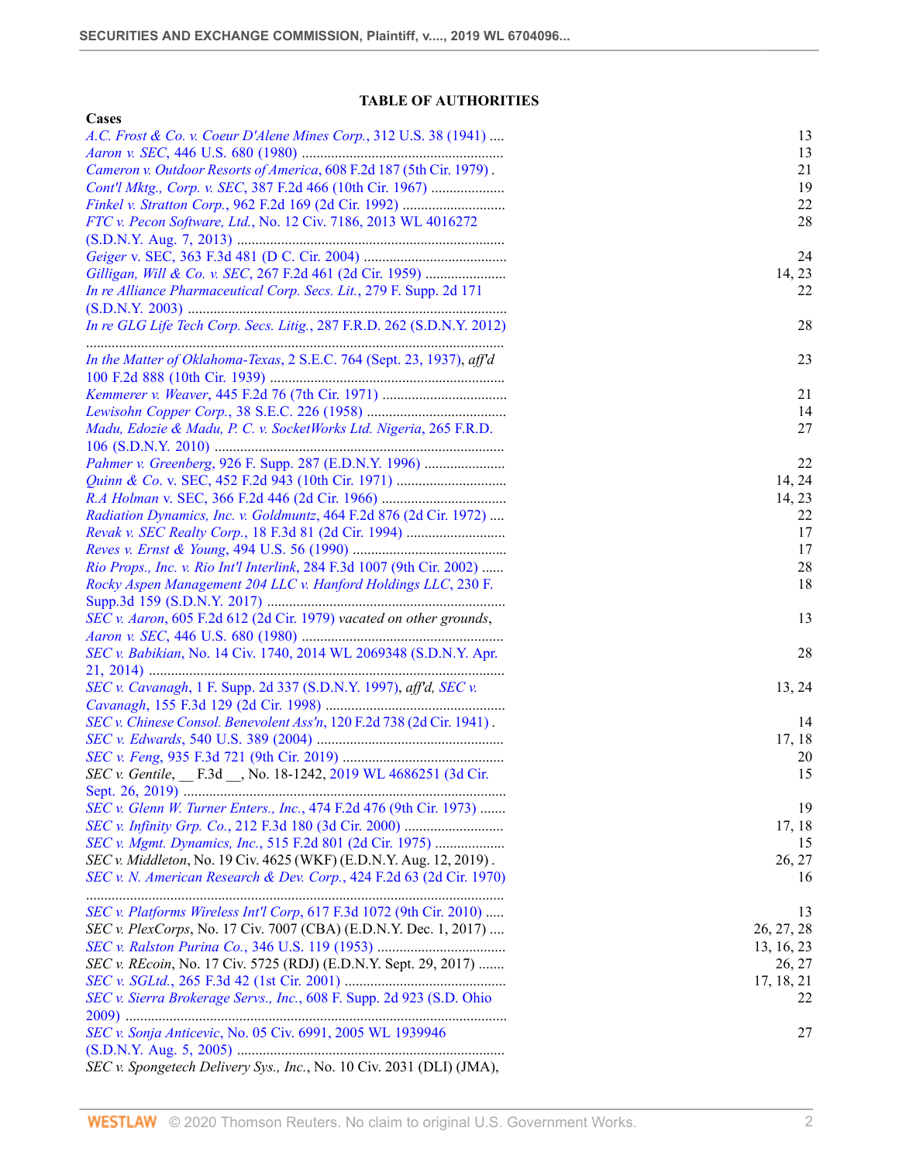# **TABLE OF AUTHORITIES**

| Cases                                                                  |                  |
|------------------------------------------------------------------------|------------------|
| A.C. Frost & Co. v. Coeur D'Alene Mines Corp., 312 U.S. 38 (1941)      | 13               |
|                                                                        | 13               |
| Cameron v. Outdoor Resorts of America, 608 F.2d 187 (5th Cir. 1979).   | 21               |
| Cont'l Mktg., Corp. v. SEC, 387 F.2d 466 (10th Cir. 1967)              | 19               |
|                                                                        | 22               |
| FTC v. Pecon Software, Ltd., No. 12 Civ. 7186, 2013 WL 4016272         | 28               |
|                                                                        |                  |
|                                                                        | 24               |
| Gilligan, Will & Co. v. SEC, 267 F.2d 461 (2d Cir. 1959)               | 14, 23           |
| In re Alliance Pharmaceutical Corp. Secs. Lit., 279 F. Supp. 2d 171    | 22               |
|                                                                        |                  |
| In re GLG Life Tech Corp. Secs. Litig., 287 F.R.D. 262 (S.D.N.Y. 2012) | 28               |
| In the Matter of Oklahoma-Texas, 2 S.E.C. 764 (Sept. 23, 1937), aff'd  | 23               |
|                                                                        |                  |
|                                                                        | 21               |
|                                                                        | 14               |
| Madu, Edozie & Madu, P. C. v. SocketWorks Ltd. Nigeria, 265 F.R.D.     | 27               |
|                                                                        |                  |
| Pahmer v. Greenberg, 926 F. Supp. 287 (E.D.N.Y. 1996)                  | 22               |
|                                                                        | 14, 24           |
|                                                                        | 14, 23           |
| Radiation Dynamics, Inc. v. Goldmuntz, 464 F.2d 876 (2d Cir. 1972)     | 22               |
|                                                                        | 17               |
|                                                                        | 17               |
| Rio Props., Inc. v. Rio Int'l Interlink, 284 F.3d 1007 (9th Cir. 2002) | 28               |
| Rocky Aspen Management 204 LLC v. Hanford Holdings LLC, 230 F.         | 18               |
|                                                                        |                  |
| SEC v. Aaron, 605 F.2d 612 (2d Cir. 1979) vacated on other grounds,    | 13               |
|                                                                        |                  |
| SEC v. Babikian, No. 14 Civ. 1740, 2014 WL 2069348 (S.D.N.Y. Apr.      | 28               |
|                                                                        |                  |
| SEC v. Cavanagh, 1 F. Supp. 2d 337 (S.D.N.Y. 1997), aff'd, SEC v.      | 13, 24           |
|                                                                        |                  |
| SEC v. Chinese Consol. Benevolent Ass'n, 120 F.2d 738 (2d Cir. 1941).  | 14               |
|                                                                        | 17, 18           |
|                                                                        | 20               |
| SEC v. Gentile, __ F.3d __, No. 18-1242, 2019 WL 4686251 (3d Cir.      | 15               |
|                                                                        |                  |
| SEC v. Glenn W. Turner Enters., Inc., 474 F.2d 476 (9th Cir. 1973)     | 19               |
|                                                                        | 17, 18           |
| SEC v. Mgmt. Dynamics, Inc., 515 F.2d 801 (2d Cir. 1975)               | 15               |
| SEC v. Middleton, No. 19 Civ. 4625 (WKF) (E.D.N.Y. Aug. 12, 2019).     | 26, 27           |
| SEC v. N. American Research & Dev. Corp., 424 F.2d 63 (2d Cir. 1970)   | 16               |
| SEC v. Platforms Wireless Int'l Corp, 617 F.3d 1072 (9th Cir. 2010)    | 13               |
| SEC v. PlexCorps, No. 17 Civ. 7007 (CBA) (E.D.N.Y. Dec. 1, 2017)       | 26, 27, 28       |
|                                                                        | 13, 16, 23       |
| SEC v. REcoin, No. 17 Civ. 5725 (RDJ) (E.D.N.Y. Sept. 29, 2017)        | 26, 27           |
|                                                                        |                  |
| SEC v. Sierra Brokerage Servs., Inc., 608 F. Supp. 2d 923 (S.D. Ohio   | 17, 18, 21<br>22 |
|                                                                        |                  |
| SEC v. Sonja Anticevic, No. 05 Civ. 6991, 2005 WL 1939946              | 27               |
|                                                                        |                  |
| SEC v. Spongetech Delivery Sys., Inc., No. 10 Civ. 2031 (DLI) (JMA),   |                  |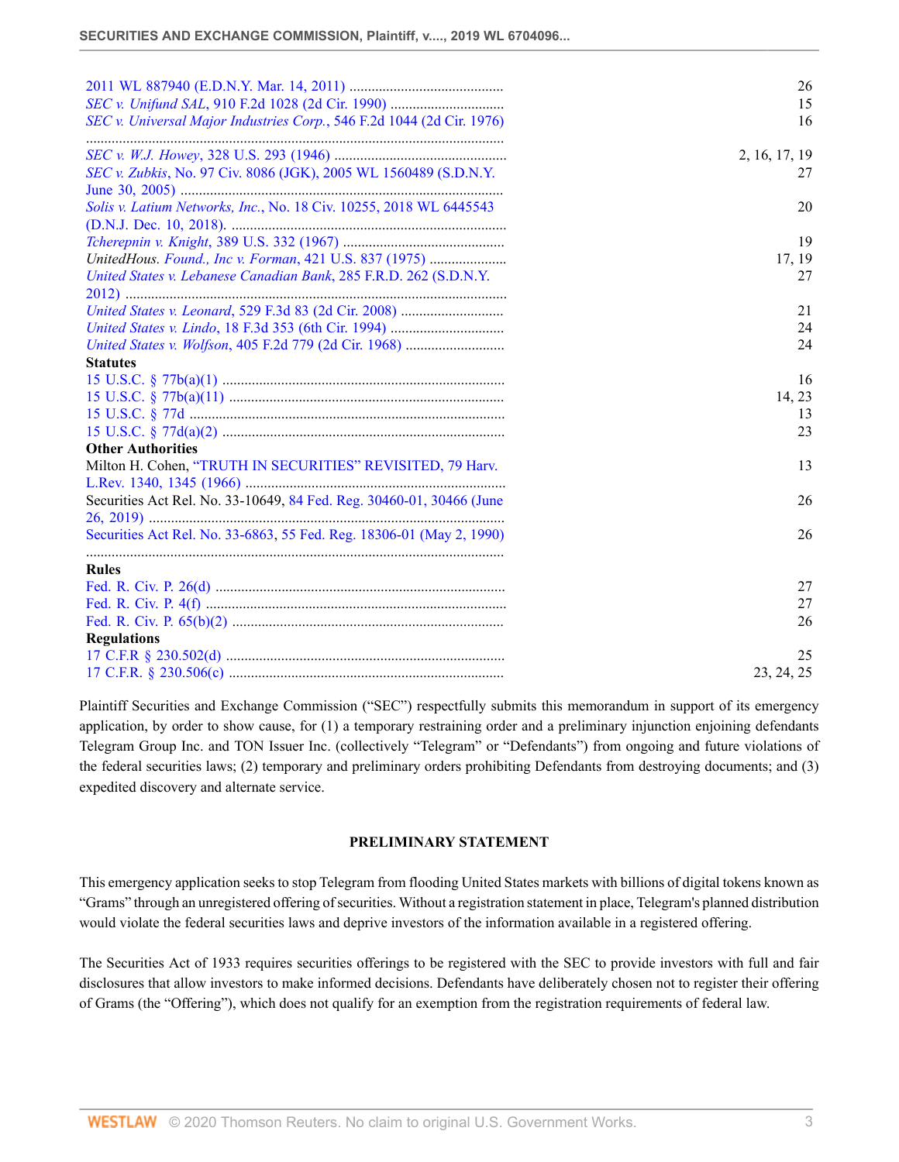|                                                                       | 26<br>15      |
|-----------------------------------------------------------------------|---------------|
| SEC v. Universal Major Industries Corp., 546 F.2d 1044 (2d Cir. 1976) | 16            |
|                                                                       | 2, 16, 17, 19 |
| SEC v. Zubkis, No. 97 Civ. 8086 (JGK), 2005 WL 1560489 (S.D.N.Y.      | 27            |
| Solis v. Latium Networks, Inc., No. 18 Civ. 10255, 2018 WL 6445543    | 20            |
|                                                                       | 19            |
| UnitedHous. Found., Inc v. Forman, 421 U.S. 837 (1975)                | 17, 19        |
| United States v. Lebanese Canadian Bank, 285 F.R.D. 262 (S.D.N.Y.     | 27            |
|                                                                       | 21            |
|                                                                       | 24            |
|                                                                       | 24            |
| <b>Statutes</b>                                                       |               |
|                                                                       | 16            |
|                                                                       | 14, 23        |
|                                                                       | 13            |
|                                                                       | 23            |
| <b>Other Authorities</b>                                              |               |
| Milton H. Cohen, "TRUTH IN SECURITIES" REVISITED, 79 Harv.            | 13            |
|                                                                       |               |
| Securities Act Rel. No. 33-10649, 84 Fed. Reg. 30460-01, 30466 (June  | 26            |
| Securities Act Rel. No. 33-6863, 55 Fed. Reg. 18306-01 (May 2, 1990)  | 26            |
| <b>Rules</b>                                                          |               |
|                                                                       | 27            |
|                                                                       | 27            |
|                                                                       | 26            |
| <b>Regulations</b>                                                    |               |
|                                                                       | 25            |
|                                                                       | 23, 24, 25    |
|                                                                       |               |

Plaintiff Securities and Exchange Commission ("SEC") respectfully submits this memorandum in support of its emergency application, by order to show cause, for (1) a temporary restraining order and a preliminary injunction enjoining defendants Telegram Group Inc. and TON Issuer Inc. (collectively "Telegram" or "Defendants") from ongoing and future violations of the federal securities laws; (2) temporary and preliminary orders prohibiting Defendants from destroying documents; and (3) expedited discovery and alternate service.

### **PRELIMINARY STATEMENT**

This emergency application seeks to stop Telegram from flooding United States markets with billions of digital tokens known as "Grams" through an unregistered offering of securities. Without a registration statement in place, Telegram's planned distribution would violate the federal securities laws and deprive investors of the information available in a registered offering.

The Securities Act of 1933 requires securities offerings to be registered with the SEC to provide investors with full and fair disclosures that allow investors to make informed decisions. Defendants have deliberately chosen not to register their offering of Grams (the "Offering"), which does not qualify for an exemption from the registration requirements of federal law.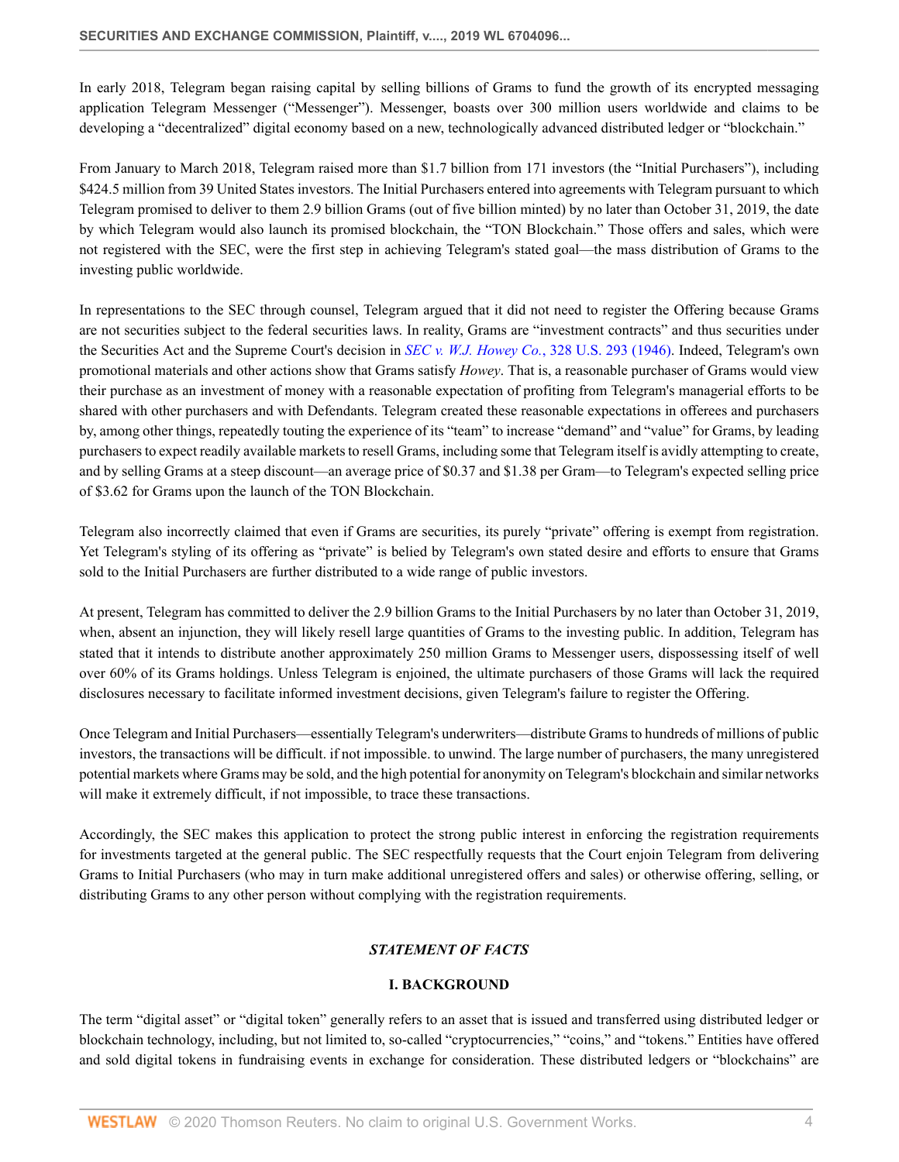In early 2018, Telegram began raising capital by selling billions of Grams to fund the growth of its encrypted messaging application Telegram Messenger ("Messenger"). Messenger, boasts over 300 million users worldwide and claims to be developing a "decentralized" digital economy based on a new, technologically advanced distributed ledger or "blockchain."

From January to March 2018, Telegram raised more than \$1.7 billion from 171 investors (the "Initial Purchasers"), including \$424.5 million from 39 United States investors. The Initial Purchasers entered into agreements with Telegram pursuant to which Telegram promised to deliver to them 2.9 billion Grams (out of five billion minted) by no later than October 31, 2019, the date by which Telegram would also launch its promised blockchain, the "TON Blockchain." Those offers and sales, which were not registered with the SEC, were the first step in achieving Telegram's stated goal—the mass distribution of Grams to the investing public worldwide.

In representations to the SEC through counsel, Telegram argued that it did not need to register the Offering because Grams are not securities subject to the federal securities laws. In reality, Grams are "investment contracts" and thus securities under the Securities Act and the Supreme Court's decision in *[SEC v. W.J. Howey Co.](http://www.westlaw.com/Link/Document/FullText?findType=Y&serNum=1946116181&pubNum=0000780&originatingDoc=Ifbece8101b6711eab410ab1c3b910894&refType=RP&originationContext=document&vr=3.0&rs=cblt1.0&transitionType=DocumentItem&contextData=(sc.RelatedInfo))*, 328 U.S. 293 (1946). Indeed, Telegram's own promotional materials and other actions show that Grams satisfy *Howey*. That is, a reasonable purchaser of Grams would view their purchase as an investment of money with a reasonable expectation of profiting from Telegram's managerial efforts to be shared with other purchasers and with Defendants. Telegram created these reasonable expectations in offerees and purchasers by, among other things, repeatedly touting the experience of its "team" to increase "demand" and "value" for Grams, by leading purchasers to expect readily available markets to resell Grams, including some that Telegram itself is avidly attempting to create, and by selling Grams at a steep discount—an average price of \$0.37 and \$1.38 per Gram—to Telegram's expected selling price of \$3.62 for Grams upon the launch of the TON Blockchain.

Telegram also incorrectly claimed that even if Grams are securities, its purely "private" offering is exempt from registration. Yet Telegram's styling of its offering as "private" is belied by Telegram's own stated desire and efforts to ensure that Grams sold to the Initial Purchasers are further distributed to a wide range of public investors.

At present, Telegram has committed to deliver the 2.9 billion Grams to the Initial Purchasers by no later than October 31, 2019, when, absent an injunction, they will likely resell large quantities of Grams to the investing public. In addition, Telegram has stated that it intends to distribute another approximately 250 million Grams to Messenger users, dispossessing itself of well over 60% of its Grams holdings. Unless Telegram is enjoined, the ultimate purchasers of those Grams will lack the required disclosures necessary to facilitate informed investment decisions, given Telegram's failure to register the Offering.

Once Telegram and Initial Purchasers—essentially Telegram's underwriters—distribute Grams to hundreds of millions of public investors, the transactions will be difficult. if not impossible. to unwind. The large number of purchasers, the many unregistered potential markets where Grams may be sold, and the high potential for anonymity on Telegram's blockchain and similar networks will make it extremely difficult, if not impossible, to trace these transactions.

Accordingly, the SEC makes this application to protect the strong public interest in enforcing the registration requirements for investments targeted at the general public. The SEC respectfully requests that the Court enjoin Telegram from delivering Grams to Initial Purchasers (who may in turn make additional unregistered offers and sales) or otherwise offering, selling, or distributing Grams to any other person without complying with the registration requirements.

# *STATEMENT OF FACTS*

## **I. BACKGROUND**

The term "digital asset" or "digital token" generally refers to an asset that is issued and transferred using distributed ledger or blockchain technology, including, but not limited to, so-called "cryptocurrencies," "coins," and "tokens." Entities have offered and sold digital tokens in fundraising events in exchange for consideration. These distributed ledgers or "blockchains" are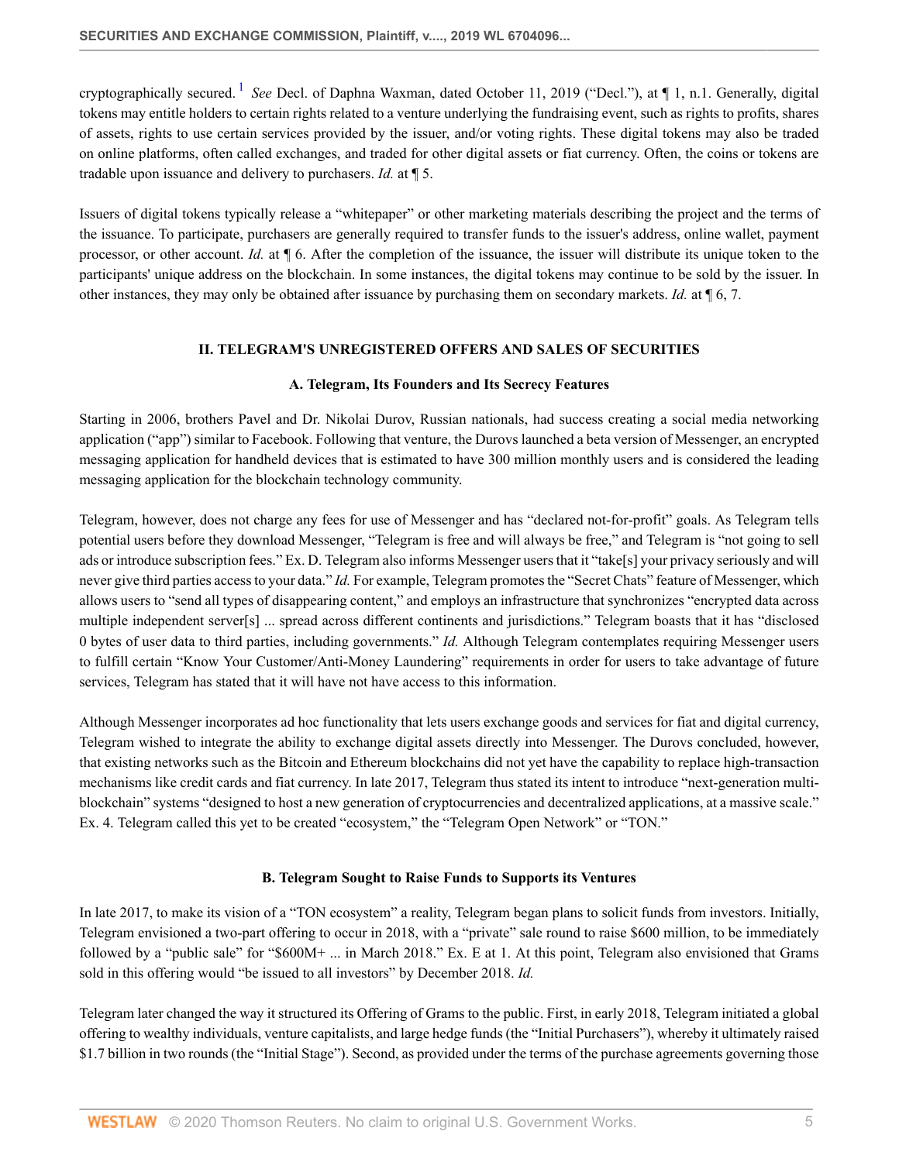<span id="page-4-0"></span>cryptographically secured. [1](#page-15-0) *See* Decl. of Daphna Waxman, dated October 11, 2019 ("Decl."), at ¶ 1, n.1. Generally, digital tokens may entitle holders to certain rights related to a venture underlying the fundraising event, such as rights to profits, shares of assets, rights to use certain services provided by the issuer, and/or voting rights. These digital tokens may also be traded on online platforms, often called exchanges, and traded for other digital assets or fiat currency. Often, the coins or tokens are tradable upon issuance and delivery to purchasers. *Id.* at ¶ 5.

Issuers of digital tokens typically release a "whitepaper" or other marketing materials describing the project and the terms of the issuance. To participate, purchasers are generally required to transfer funds to the issuer's address, online wallet, payment processor, or other account. *Id.* at ¶ 6. After the completion of the issuance, the issuer will distribute its unique token to the participants' unique address on the blockchain. In some instances, the digital tokens may continue to be sold by the issuer. In other instances, they may only be obtained after issuance by purchasing them on secondary markets. *Id.* at ¶ 6, 7.

### **II. TELEGRAM'S UNREGISTERED OFFERS AND SALES OF SECURITIES**

### **A. Telegram, Its Founders and Its Secrecy Features**

Starting in 2006, brothers Pavel and Dr. Nikolai Durov, Russian nationals, had success creating a social media networking application ("app") similar to Facebook. Following that venture, the Durovs launched a beta version of Messenger, an encrypted messaging application for handheld devices that is estimated to have 300 million monthly users and is considered the leading messaging application for the blockchain technology community.

Telegram, however, does not charge any fees for use of Messenger and has "declared not-for-profit" goals. As Telegram tells potential users before they download Messenger, "Telegram is free and will always be free," and Telegram is "not going to sell ads or introduce subscription fees." Ex. D. Telegram also informs Messenger users that it "take[s] your privacy seriously and will never give third parties access to your data." *Id.* For example, Telegram promotes the "Secret Chats" feature of Messenger, which allows users to "send all types of disappearing content," and employs an infrastructure that synchronizes "encrypted data across multiple independent server[s] ... spread across different continents and jurisdictions." Telegram boasts that it has "disclosed 0 bytes of user data to third parties, including governments." *Id.* Although Telegram contemplates requiring Messenger users to fulfill certain "Know Your Customer/Anti-Money Laundering" requirements in order for users to take advantage of future services, Telegram has stated that it will have not have access to this information.

Although Messenger incorporates ad hoc functionality that lets users exchange goods and services for fiat and digital currency, Telegram wished to integrate the ability to exchange digital assets directly into Messenger. The Durovs concluded, however, that existing networks such as the Bitcoin and Ethereum blockchains did not yet have the capability to replace high-transaction mechanisms like credit cards and fiat currency. In late 2017, Telegram thus stated its intent to introduce "next-generation multiblockchain" systems "designed to host a new generation of cryptocurrencies and decentralized applications, at a massive scale." Ex. 4. Telegram called this yet to be created "ecosystem," the "Telegram Open Network" or "TON."

## **B. Telegram Sought to Raise Funds to Supports its Ventures**

In late 2017, to make its vision of a "TON ecosystem" a reality, Telegram began plans to solicit funds from investors. Initially, Telegram envisioned a two-part offering to occur in 2018, with a "private" sale round to raise \$600 million, to be immediately followed by a "public sale" for "\$600M+ ... in March 2018." Ex. E at 1. At this point, Telegram also envisioned that Grams sold in this offering would "be issued to all investors" by December 2018. *Id.*

Telegram later changed the way it structured its Offering of Grams to the public. First, in early 2018, Telegram initiated a global offering to wealthy individuals, venture capitalists, and large hedge funds (the "Initial Purchasers"), whereby it ultimately raised \$1.7 billion in two rounds (the "Initial Stage"). Second, as provided under the terms of the purchase agreements governing those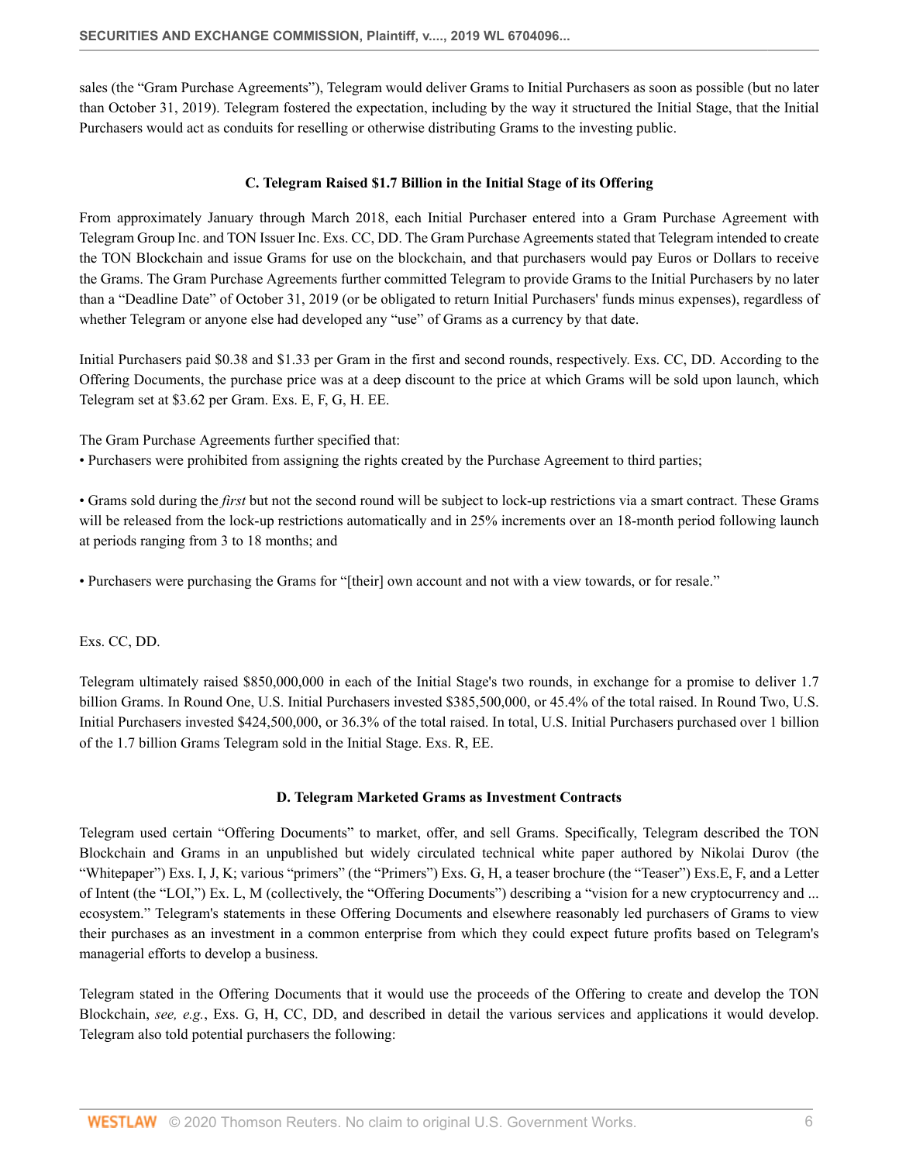sales (the "Gram Purchase Agreements"), Telegram would deliver Grams to Initial Purchasers as soon as possible (but no later than October 31, 2019). Telegram fostered the expectation, including by the way it structured the Initial Stage, that the Initial Purchasers would act as conduits for reselling or otherwise distributing Grams to the investing public.

### **C. Telegram Raised \$1.7 Billion in the Initial Stage of its Offering**

From approximately January through March 2018, each Initial Purchaser entered into a Gram Purchase Agreement with Telegram Group Inc. and TON Issuer Inc. Exs. CC, DD. The Gram Purchase Agreements stated that Telegram intended to create the TON Blockchain and issue Grams for use on the blockchain, and that purchasers would pay Euros or Dollars to receive the Grams. The Gram Purchase Agreements further committed Telegram to provide Grams to the Initial Purchasers by no later than a "Deadline Date" of October 31, 2019 (or be obligated to return Initial Purchasers' funds minus expenses), regardless of whether Telegram or anyone else had developed any "use" of Grams as a currency by that date.

Initial Purchasers paid \$0.38 and \$1.33 per Gram in the first and second rounds, respectively. Exs. CC, DD. According to the Offering Documents, the purchase price was at a deep discount to the price at which Grams will be sold upon launch, which Telegram set at \$3.62 per Gram. Exs. E, F, G, H. EE.

The Gram Purchase Agreements further specified that:

• Purchasers were prohibited from assigning the rights created by the Purchase Agreement to third parties;

• Grams sold during the *first* but not the second round will be subject to lock-up restrictions via a smart contract. These Grams will be released from the lock-up restrictions automatically and in 25% increments over an 18-month period following launch at periods ranging from 3 to 18 months; and

• Purchasers were purchasing the Grams for "[their] own account and not with a view towards, or for resale."

Exs. CC, DD.

Telegram ultimately raised \$850,000,000 in each of the Initial Stage's two rounds, in exchange for a promise to deliver 1.7 billion Grams. In Round One, U.S. Initial Purchasers invested \$385,500,000, or 45.4% of the total raised. In Round Two, U.S. Initial Purchasers invested \$424,500,000, or 36.3% of the total raised. In total, U.S. Initial Purchasers purchased over 1 billion of the 1.7 billion Grams Telegram sold in the Initial Stage. Exs. R, EE.

## **D. Telegram Marketed Grams as Investment Contracts**

Telegram used certain "Offering Documents" to market, offer, and sell Grams. Specifically, Telegram described the TON Blockchain and Grams in an unpublished but widely circulated technical white paper authored by Nikolai Durov (the "Whitepaper") Exs. I, J, K; various "primers" (the "Primers") Exs. G, H, a teaser brochure (the "Teaser") Exs.E, F, and a Letter of Intent (the "LOI,") Ex. L, M (collectively, the "Offering Documents") describing a "vision for a new cryptocurrency and ... ecosystem." Telegram's statements in these Offering Documents and elsewhere reasonably led purchasers of Grams to view their purchases as an investment in a common enterprise from which they could expect future profits based on Telegram's managerial efforts to develop a business.

Telegram stated in the Offering Documents that it would use the proceeds of the Offering to create and develop the TON Blockchain, *see, e.g.*, Exs. G, H, CC, DD, and described in detail the various services and applications it would develop. Telegram also told potential purchasers the following: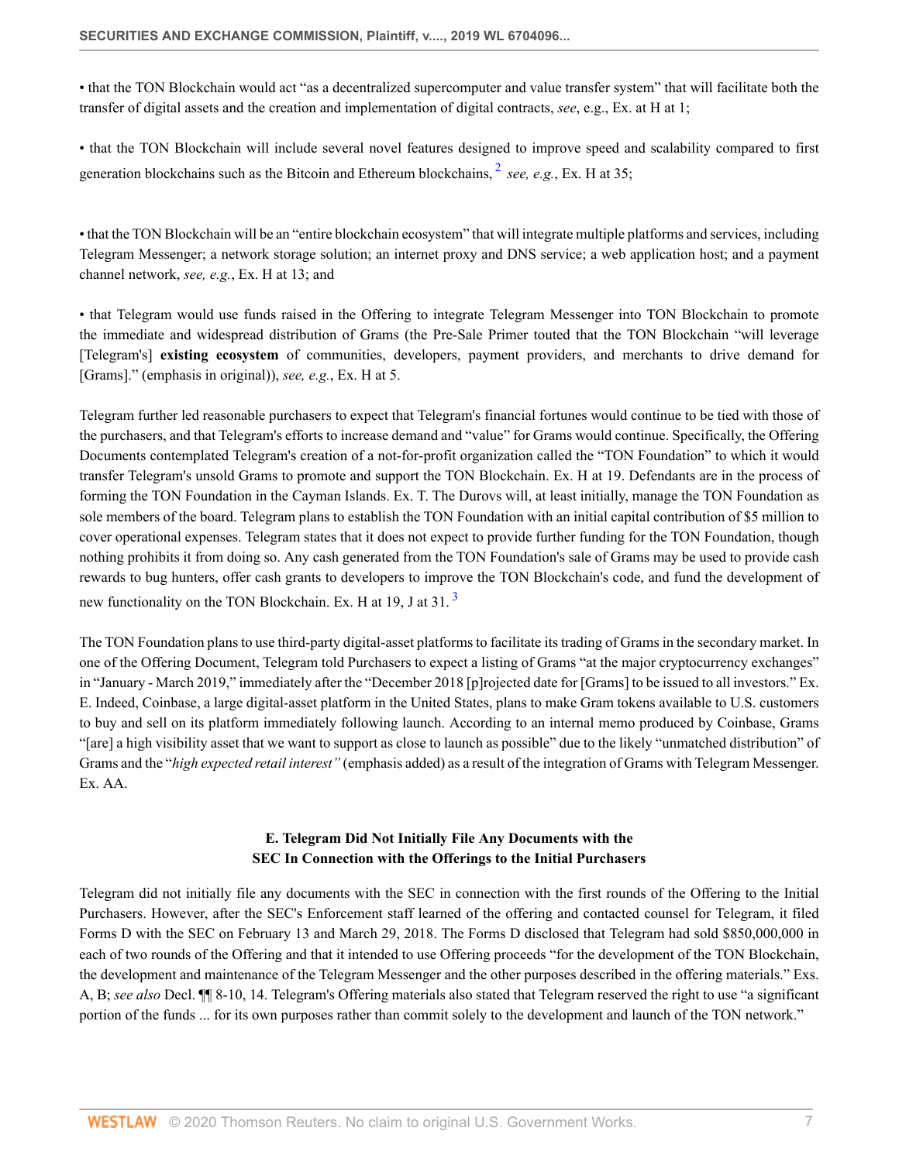• that the TON Blockchain would act "as a decentralized supercomputer and value transfer system" that will facilitate both the transfer of digital assets and the creation and implementation of digital contracts, *see*, e.g., Ex. at H at 1;

<span id="page-6-0"></span>• that the TON Blockchain will include several novel features designed to improve speed and scalability compared to first generation blockchains such as the Bitcoin and Ethereum blockchains, [2](#page-15-1) *see, e.g.*, Ex. H at 35;

• that the TON Blockchain will be an "entire blockchain ecosystem" that will integrate multiple platforms and services, including Telegram Messenger; a network storage solution; an internet proxy and DNS service; a web application host; and a payment channel network, *see, e.g.*, Ex. H at 13; and

• that Telegram would use funds raised in the Offering to integrate Telegram Messenger into TON Blockchain to promote the immediate and widespread distribution of Grams (the Pre-Sale Primer touted that the TON Blockchain "will leverage [Telegram's] **existing ecosystem** of communities, developers, payment providers, and merchants to drive demand for [Grams]." (emphasis in original)), *see, e.g.*, Ex. H at 5.

Telegram further led reasonable purchasers to expect that Telegram's financial fortunes would continue to be tied with those of the purchasers, and that Telegram's efforts to increase demand and "value" for Grams would continue. Specifically, the Offering Documents contemplated Telegram's creation of a not-for-profit organization called the "TON Foundation" to which it would transfer Telegram's unsold Grams to promote and support the TON Blockchain. Ex. H at 19. Defendants are in the process of forming the TON Foundation in the Cayman Islands. Ex. T. The Durovs will, at least initially, manage the TON Foundation as sole members of the board. Telegram plans to establish the TON Foundation with an initial capital contribution of \$5 million to cover operational expenses. Telegram states that it does not expect to provide further funding for the TON Foundation, though nothing prohibits it from doing so. Any cash generated from the TON Foundation's sale of Grams may be used to provide cash rewards to bug hunters, offer cash grants to developers to improve the TON Blockchain's code, and fund the development of new functionality on the TON Blockchain. Ex. H at 19, J at [3](#page-16-0)1.<sup>3</sup>

The TON Foundation plans to use third-party digital-asset platforms to facilitate its trading of Grams in the secondary market. In one of the Offering Document, Telegram told Purchasers to expect a listing of Grams "at the major cryptocurrency exchanges" in "January - March 2019," immediately after the "December 2018 [p]rojected date for [Grams] to be issued to all investors." Ex. E. Indeed, Coinbase, a large digital-asset platform in the United States, plans to make Gram tokens available to U.S. customers to buy and sell on its platform immediately following launch. According to an internal memo produced by Coinbase, Grams "[are] a high visibility asset that we want to support as close to launch as possible" due to the likely "unmatched distribution" of Grams and the "*high expected retail interest"* (emphasis added) as a result of the integration of Grams with Telegram Messenger. Ex. AA.

# <span id="page-6-1"></span>**E. Telegram Did Not Initially File Any Documents with the SEC In Connection with the Offerings to the Initial Purchasers**

Telegram did not initially file any documents with the SEC in connection with the first rounds of the Offering to the Initial Purchasers. However, after the SEC's Enforcement staff learned of the offering and contacted counsel for Telegram, it filed Forms D with the SEC on February 13 and March 29, 2018. The Forms D disclosed that Telegram had sold \$850,000,000 in each of two rounds of the Offering and that it intended to use Offering proceeds "for the development of the TON Blockchain, the development and maintenance of the Telegram Messenger and the other purposes described in the offering materials." Exs. A, B; *see also* Decl. ¶¶ 8-10, 14. Telegram's Offering materials also stated that Telegram reserved the right to use "a significant portion of the funds ... for its own purposes rather than commit solely to the development and launch of the TON network."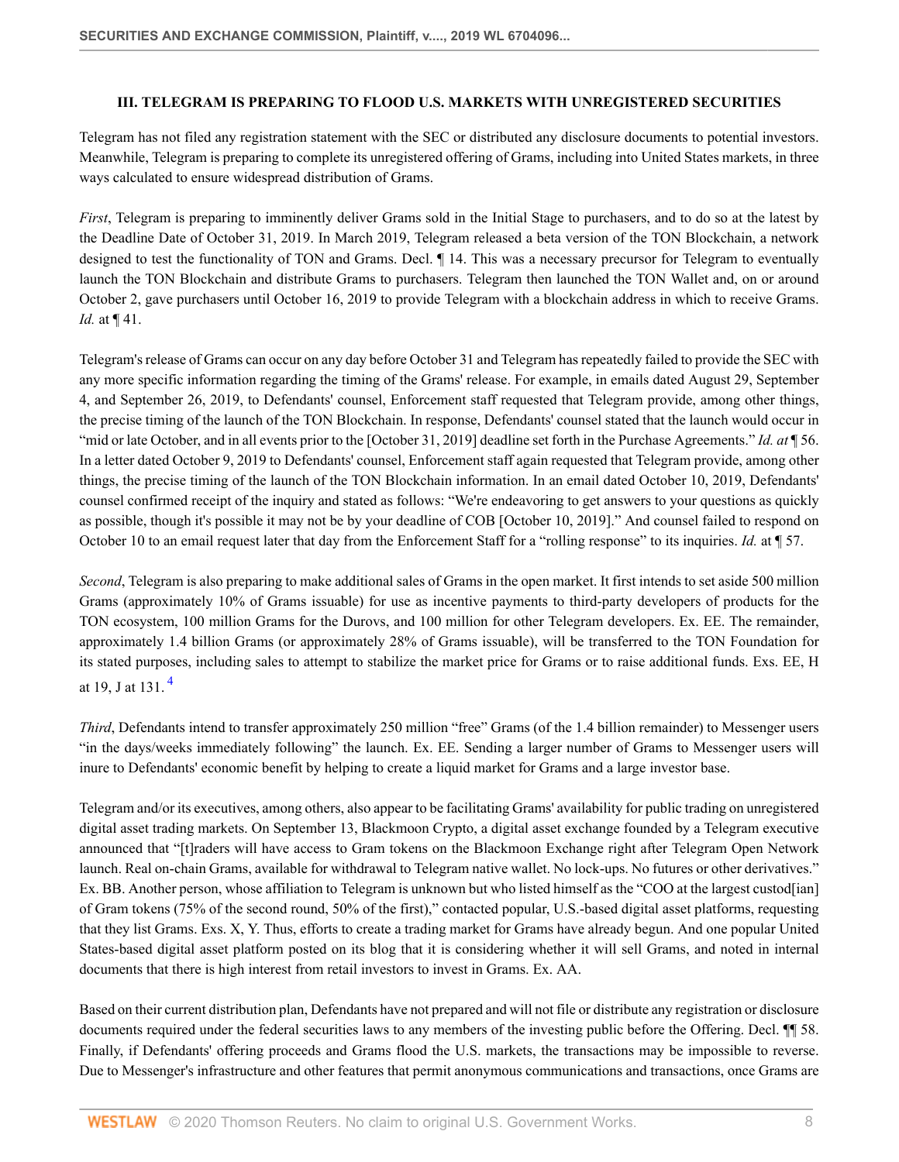# **III. TELEGRAM IS PREPARING TO FLOOD U.S. MARKETS WITH UNREGISTERED SECURITIES**

Telegram has not filed any registration statement with the SEC or distributed any disclosure documents to potential investors. Meanwhile, Telegram is preparing to complete its unregistered offering of Grams, including into United States markets, in three ways calculated to ensure widespread distribution of Grams.

*First*, Telegram is preparing to imminently deliver Grams sold in the Initial Stage to purchasers, and to do so at the latest by the Deadline Date of October 31, 2019. In March 2019, Telegram released a beta version of the TON Blockchain, a network designed to test the functionality of TON and Grams. Decl. ¶ 14. This was a necessary precursor for Telegram to eventually launch the TON Blockchain and distribute Grams to purchasers. Telegram then launched the TON Wallet and, on or around October 2, gave purchasers until October 16, 2019 to provide Telegram with a blockchain address in which to receive Grams. *Id.* at ¶ 41.

Telegram's release of Grams can occur on any day before October 31 and Telegram has repeatedly failed to provide the SEC with any more specific information regarding the timing of the Grams' release. For example, in emails dated August 29, September 4, and September 26, 2019, to Defendants' counsel, Enforcement staff requested that Telegram provide, among other things, the precise timing of the launch of the TON Blockchain. In response, Defendants' counsel stated that the launch would occur in "mid or late October, and in all events prior to the [October 31, 2019] deadline set forth in the Purchase Agreements." *Id. at* ¶ 56. In a letter dated October 9, 2019 to Defendants' counsel, Enforcement staff again requested that Telegram provide, among other things, the precise timing of the launch of the TON Blockchain information. In an email dated October 10, 2019, Defendants' counsel confirmed receipt of the inquiry and stated as follows: "We're endeavoring to get answers to your questions as quickly as possible, though it's possible it may not be by your deadline of COB [October 10, 2019]." And counsel failed to respond on October 10 to an email request later that day from the Enforcement Staff for a "rolling response" to its inquiries. *Id.* at ¶ 57.

*Second*, Telegram is also preparing to make additional sales of Grams in the open market. It first intends to set aside 500 million Grams (approximately 10% of Grams issuable) for use as incentive payments to third-party developers of products for the TON ecosystem, 100 million Grams for the Durovs, and 100 million for other Telegram developers. Ex. EE. The remainder, approximately 1.4 billion Grams (or approximately 28% of Grams issuable), will be transferred to the TON Foundation for its stated purposes, including sales to attempt to stabilize the market price for Grams or to raise additional funds. Exs. EE, H at 19. J at 131. $4$ 

<span id="page-7-0"></span>*Third*, Defendants intend to transfer approximately 250 million "free" Grams (of the 1.4 billion remainder) to Messenger users "in the days/weeks immediately following" the launch. Ex. EE. Sending a larger number of Grams to Messenger users will inure to Defendants' economic benefit by helping to create a liquid market for Grams and a large investor base.

Telegram and/or its executives, among others, also appear to be facilitating Grams' availability for public trading on unregistered digital asset trading markets. On September 13, Blackmoon Crypto, a digital asset exchange founded by a Telegram executive announced that "[t]raders will have access to Gram tokens on the Blackmoon Exchange right after Telegram Open Network launch. Real on-chain Grams, available for withdrawal to Telegram native wallet. No lock-ups. No futures or other derivatives." Ex. BB. Another person, whose affiliation to Telegram is unknown but who listed himself as the "COO at the largest custod[ian] of Gram tokens (75% of the second round, 50% of the first)," contacted popular, U.S.-based digital asset platforms, requesting that they list Grams. Exs. X, Y. Thus, efforts to create a trading market for Grams have already begun. And one popular United States-based digital asset platform posted on its blog that it is considering whether it will sell Grams, and noted in internal documents that there is high interest from retail investors to invest in Grams. Ex. AA.

Based on their current distribution plan, Defendants have not prepared and will not file or distribute any registration or disclosure documents required under the federal securities laws to any members of the investing public before the Offering. Decl. ¶¶ 58. Finally, if Defendants' offering proceeds and Grams flood the U.S. markets, the transactions may be impossible to reverse. Due to Messenger's infrastructure and other features that permit anonymous communications and transactions, once Grams are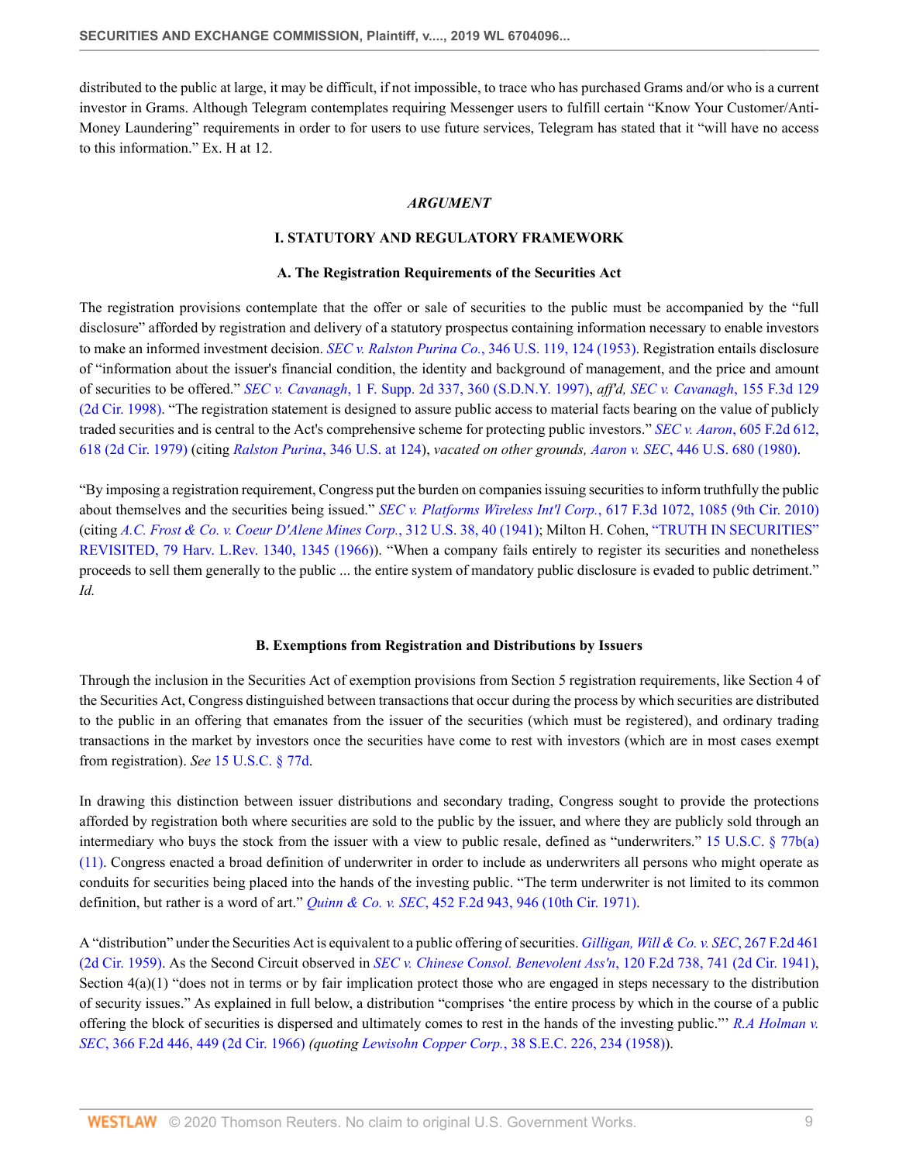distributed to the public at large, it may be difficult, if not impossible, to trace who has purchased Grams and/or who is a current investor in Grams. Although Telegram contemplates requiring Messenger users to fulfill certain "Know Your Customer/Anti-Money Laundering" requirements in order to for users to use future services, Telegram has stated that it "will have no access to this information." Ex. H at 12.

#### *ARGUMENT*

### **I. STATUTORY AND REGULATORY FRAMEWORK**

#### **A. The Registration Requirements of the Securities Act**

The registration provisions contemplate that the offer or sale of securities to the public must be accompanied by the "full disclosure" afforded by registration and delivery of a statutory prospectus containing information necessary to enable investors to make an informed investment decision. *[SEC v. Ralston Purina Co.](http://www.westlaw.com/Link/Document/FullText?findType=Y&serNum=1953121015&pubNum=0000780&originatingDoc=Ifbece8101b6711eab410ab1c3b910894&refType=RP&fi=co_pp_sp_780_124&originationContext=document&vr=3.0&rs=cblt1.0&transitionType=DocumentItem&contextData=(sc.RelatedInfo)#co_pp_sp_780_124)*, 346 U.S. 119, 124 (1953). Registration entails disclosure of "information about the issuer's financial condition, the identity and background of management, and the price and amount of securities to be offered." *SEC v. Cavanagh*[, 1 F. Supp. 2d 337, 360 \(S.D.N.Y. 1997\),](http://www.westlaw.com/Link/Document/FullText?findType=Y&serNum=1998093023&pubNum=0004637&originatingDoc=Ifbece8101b6711eab410ab1c3b910894&refType=RP&fi=co_pp_sp_4637_360&originationContext=document&vr=3.0&rs=cblt1.0&transitionType=DocumentItem&contextData=(sc.RelatedInfo)#co_pp_sp_4637_360) *aff'd, [SEC v. Cavanagh](http://www.westlaw.com/Link/Document/FullText?findType=Y&serNum=1998184147&pubNum=0000506&originatingDoc=Ifbece8101b6711eab410ab1c3b910894&refType=RP&originationContext=document&vr=3.0&rs=cblt1.0&transitionType=DocumentItem&contextData=(sc.RelatedInfo))*, 155 F.3d 129 [\(2d Cir. 1998\)](http://www.westlaw.com/Link/Document/FullText?findType=Y&serNum=1998184147&pubNum=0000506&originatingDoc=Ifbece8101b6711eab410ab1c3b910894&refType=RP&originationContext=document&vr=3.0&rs=cblt1.0&transitionType=DocumentItem&contextData=(sc.RelatedInfo)). "The registration statement is designed to assure public access to material facts bearing on the value of publicly traded securities and is central to the Act's comprehensive scheme for protecting public investors." *SEC v. Aaron*[, 605 F.2d 612,](http://www.westlaw.com/Link/Document/FullText?findType=Y&serNum=1979114503&pubNum=0000350&originatingDoc=Ifbece8101b6711eab410ab1c3b910894&refType=RP&fi=co_pp_sp_350_618&originationContext=document&vr=3.0&rs=cblt1.0&transitionType=DocumentItem&contextData=(sc.RelatedInfo)#co_pp_sp_350_618) [618 \(2d Cir. 1979\)](http://www.westlaw.com/Link/Document/FullText?findType=Y&serNum=1979114503&pubNum=0000350&originatingDoc=Ifbece8101b6711eab410ab1c3b910894&refType=RP&fi=co_pp_sp_350_618&originationContext=document&vr=3.0&rs=cblt1.0&transitionType=DocumentItem&contextData=(sc.RelatedInfo)#co_pp_sp_350_618) (citing *Ralston Purina*[, 346 U.S. at 124](http://www.westlaw.com/Link/Document/FullText?findType=Y&serNum=1953121015&pubNum=0000780&originatingDoc=Ifbece8101b6711eab410ab1c3b910894&refType=RP&fi=co_pp_sp_780_124&originationContext=document&vr=3.0&rs=cblt1.0&transitionType=DocumentItem&contextData=(sc.RelatedInfo)#co_pp_sp_780_124)), *vacated on other grounds, Aaron v. SEC*[, 446 U.S. 680 \(1980\)](http://www.westlaw.com/Link/Document/FullText?findType=Y&serNum=1980116757&pubNum=0000780&originatingDoc=Ifbece8101b6711eab410ab1c3b910894&refType=RP&originationContext=document&vr=3.0&rs=cblt1.0&transitionType=DocumentItem&contextData=(sc.RelatedInfo)).

"By imposing a registration requirement, Congress put the burden on companies issuing securities to inform truthfully the public about themselves and the securities being issued." *SEC v. Platforms Wireless Int'l Corp.*[, 617 F.3d 1072, 1085 \(9th Cir. 2010\)](http://www.westlaw.com/Link/Document/FullText?findType=Y&serNum=2022777318&pubNum=0000506&originatingDoc=Ifbece8101b6711eab410ab1c3b910894&refType=RP&fi=co_pp_sp_506_1085&originationContext=document&vr=3.0&rs=cblt1.0&transitionType=DocumentItem&contextData=(sc.RelatedInfo)#co_pp_sp_506_1085) (citing *[A.C. Frost & Co. v. Coeur D'Alene Mines Corp.](http://www.westlaw.com/Link/Document/FullText?findType=Y&serNum=1941123967&pubNum=0000780&originatingDoc=Ifbece8101b6711eab410ab1c3b910894&refType=RP&fi=co_pp_sp_780_40&originationContext=document&vr=3.0&rs=cblt1.0&transitionType=DocumentItem&contextData=(sc.RelatedInfo)#co_pp_sp_780_40)*, 312 U.S. 38, 40 (1941); Milton H. Cohen, ["TRUTH IN SECURITIES"](http://www.westlaw.com/Link/Document/FullText?findType=Y&serNum=0110357245&pubNum=0003084&originatingDoc=Ifbece8101b6711eab410ab1c3b910894&refType=LR&fi=co_pp_sp_3084_1345&originationContext=document&vr=3.0&rs=cblt1.0&transitionType=DocumentItem&contextData=(sc.RelatedInfo)#co_pp_sp_3084_1345) [REVISITED, 79 Harv. L.Rev. 1340, 1345 \(1966\)\)](http://www.westlaw.com/Link/Document/FullText?findType=Y&serNum=0110357245&pubNum=0003084&originatingDoc=Ifbece8101b6711eab410ab1c3b910894&refType=LR&fi=co_pp_sp_3084_1345&originationContext=document&vr=3.0&rs=cblt1.0&transitionType=DocumentItem&contextData=(sc.RelatedInfo)#co_pp_sp_3084_1345). "When a company fails entirely to register its securities and nonetheless proceeds to sell them generally to the public ... the entire system of mandatory public disclosure is evaded to public detriment." *Id.*

#### **B. Exemptions from Registration and Distributions by Issuers**

Through the inclusion in the Securities Act of exemption provisions from Section 5 registration requirements, like Section 4 of the Securities Act, Congress distinguished between transactions that occur during the process by which securities are distributed to the public in an offering that emanates from the issuer of the securities (which must be registered), and ordinary trading transactions in the market by investors once the securities have come to rest with investors (which are in most cases exempt from registration). *See* [15 U.S.C. § 77d.](http://www.westlaw.com/Link/Document/FullText?findType=L&pubNum=1000546&cite=15USCAS77D&originatingDoc=Ifbece8101b6711eab410ab1c3b910894&refType=LQ&originationContext=document&vr=3.0&rs=cblt1.0&transitionType=DocumentItem&contextData=(sc.RelatedInfo))

In drawing this distinction between issuer distributions and secondary trading, Congress sought to provide the protections afforded by registration both where securities are sold to the public by the issuer, and where they are publicly sold through an intermediary who buys the stock from the issuer with a view to public resale, defined as "underwriters." [15 U.S.C. § 77b\(a\)](http://www.westlaw.com/Link/Document/FullText?findType=L&pubNum=1000546&cite=15USCAS77B&originatingDoc=Ifbece8101b6711eab410ab1c3b910894&refType=RB&originationContext=document&vr=3.0&rs=cblt1.0&transitionType=DocumentItem&contextData=(sc.RelatedInfo)#co_pp_1d77000020cc6) [\(11\)](http://www.westlaw.com/Link/Document/FullText?findType=L&pubNum=1000546&cite=15USCAS77B&originatingDoc=Ifbece8101b6711eab410ab1c3b910894&refType=RB&originationContext=document&vr=3.0&rs=cblt1.0&transitionType=DocumentItem&contextData=(sc.RelatedInfo)#co_pp_1d77000020cc6). Congress enacted a broad definition of underwriter in order to include as underwriters all persons who might operate as conduits for securities being placed into the hands of the investing public. "The term underwriter is not limited to its common definition, but rather is a word of art." *Quinn & Co. v. SEC*[, 452 F.2d 943, 946 \(10th Cir. 1971\).](http://www.westlaw.com/Link/Document/FullText?findType=Y&serNum=1971113797&pubNum=0000350&originatingDoc=Ifbece8101b6711eab410ab1c3b910894&refType=RP&fi=co_pp_sp_350_946&originationContext=document&vr=3.0&rs=cblt1.0&transitionType=DocumentItem&contextData=(sc.RelatedInfo)#co_pp_sp_350_946)

A "distribution" under the Securities Act is equivalent to a public offering of securities. *[Gilligan, Will & Co. v. SEC](http://www.westlaw.com/Link/Document/FullText?findType=Y&serNum=1959110499&pubNum=0000350&originatingDoc=Ifbece8101b6711eab410ab1c3b910894&refType=RP&originationContext=document&vr=3.0&rs=cblt1.0&transitionType=DocumentItem&contextData=(sc.RelatedInfo))*, 267 F.2d 461 [\(2d Cir. 1959\)](http://www.westlaw.com/Link/Document/FullText?findType=Y&serNum=1959110499&pubNum=0000350&originatingDoc=Ifbece8101b6711eab410ab1c3b910894&refType=RP&originationContext=document&vr=3.0&rs=cblt1.0&transitionType=DocumentItem&contextData=(sc.RelatedInfo)). As the Second Circuit observed in *[SEC v. Chinese Consol. Benevolent Ass'n](http://www.westlaw.com/Link/Document/FullText?findType=Y&serNum=1941125268&pubNum=0000350&originatingDoc=Ifbece8101b6711eab410ab1c3b910894&refType=RP&fi=co_pp_sp_350_741&originationContext=document&vr=3.0&rs=cblt1.0&transitionType=DocumentItem&contextData=(sc.RelatedInfo)#co_pp_sp_350_741)*, 120 F.2d 738, 741 (2d Cir. 1941), Section  $4(a)(1)$  "does not in terms or by fair implication protect those who are engaged in steps necessary to the distribution of security issues." As explained in full below, a distribution "comprises 'the entire process by which in the course of a public offering the block of securities is dispersed and ultimately comes to rest in the hands of the investing public."' *[R.A Holman v.](http://www.westlaw.com/Link/Document/FullText?findType=Y&serNum=1966122443&pubNum=0000350&originatingDoc=Ifbece8101b6711eab410ab1c3b910894&refType=RP&fi=co_pp_sp_350_449&originationContext=document&vr=3.0&rs=cblt1.0&transitionType=DocumentItem&contextData=(sc.RelatedInfo)#co_pp_sp_350_449) SEC*[, 366 F.2d 446, 449 \(2d Cir. 1966\)](http://www.westlaw.com/Link/Document/FullText?findType=Y&serNum=1966122443&pubNum=0000350&originatingDoc=Ifbece8101b6711eab410ab1c3b910894&refType=RP&fi=co_pp_sp_350_449&originationContext=document&vr=3.0&rs=cblt1.0&transitionType=DocumentItem&contextData=(sc.RelatedInfo)#co_pp_sp_350_449) *(quoting Lewisohn Copper Corp.*[, 38 S.E.C. 226, 234 \(1958\)](http://www.westlaw.com/Link/Document/FullText?findType=Y&serNum=1958056986&pubNum=0001039&originatingDoc=Ifbece8101b6711eab410ab1c3b910894&refType=CA&fi=co_pp_sp_1039_234&originationContext=document&vr=3.0&rs=cblt1.0&transitionType=DocumentItem&contextData=(sc.RelatedInfo)#co_pp_sp_1039_234)).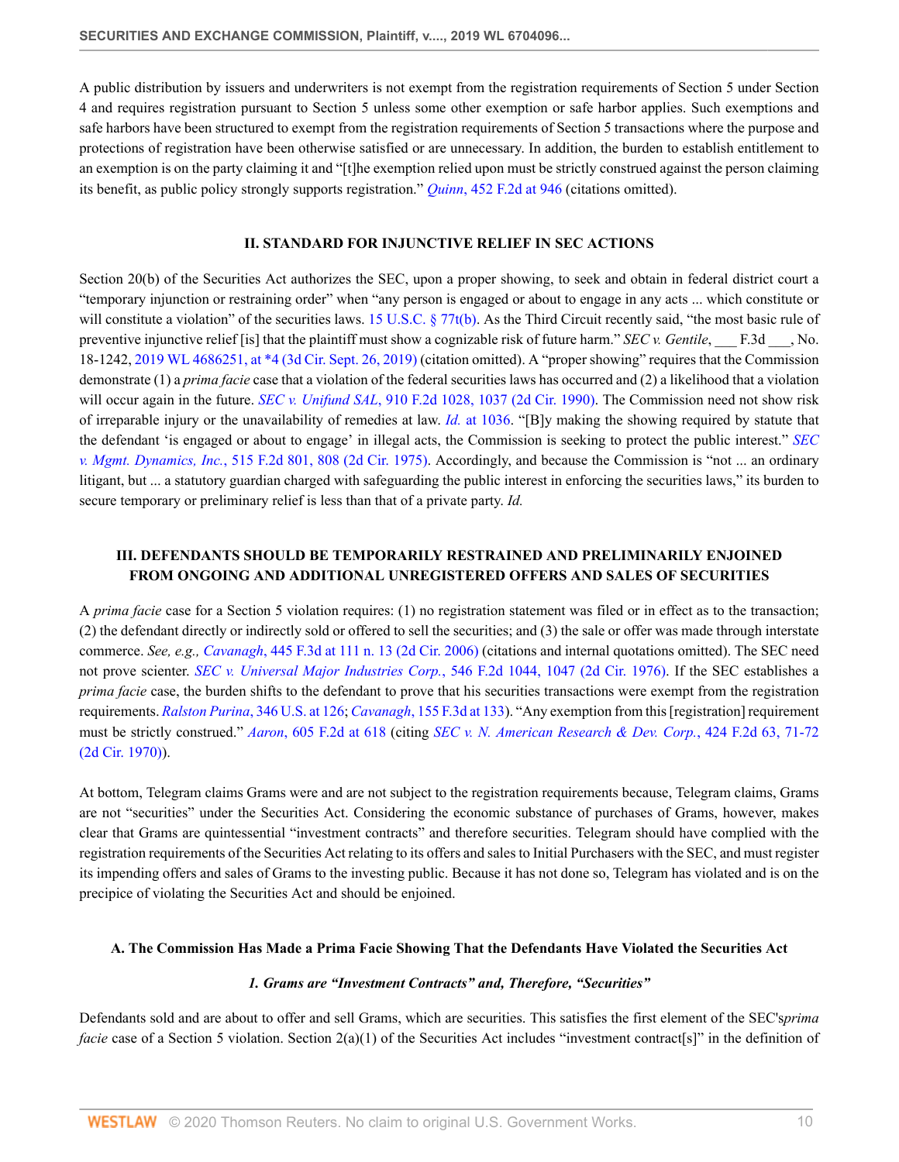A public distribution by issuers and underwriters is not exempt from the registration requirements of Section 5 under Section 4 and requires registration pursuant to Section 5 unless some other exemption or safe harbor applies. Such exemptions and safe harbors have been structured to exempt from the registration requirements of Section 5 transactions where the purpose and protections of registration have been otherwise satisfied or are unnecessary. In addition, the burden to establish entitlement to an exemption is on the party claiming it and "[t]he exemption relied upon must be strictly construed against the person claiming its benefit, as public policy strongly supports registration." *Quinn*[, 452 F.2d at 946](http://www.westlaw.com/Link/Document/FullText?findType=Y&serNum=1971113797&pubNum=0000350&originatingDoc=Ifbece8101b6711eab410ab1c3b910894&refType=RP&fi=co_pp_sp_350_946&originationContext=document&vr=3.0&rs=cblt1.0&transitionType=DocumentItem&contextData=(sc.RelatedInfo)#co_pp_sp_350_946) (citations omitted).

### **II. STANDARD FOR INJUNCTIVE RELIEF IN SEC ACTIONS**

Section 20(b) of the Securities Act authorizes the SEC, upon a proper showing, to seek and obtain in federal district court a "temporary injunction or restraining order" when "any person is engaged or about to engage in any acts ... which constitute or will constitute a violation" of the securities laws. [15 U.S.C. § 77t\(b\).](http://www.westlaw.com/Link/Document/FullText?findType=L&pubNum=1000546&cite=15USCAS77T&originatingDoc=Ifbece8101b6711eab410ab1c3b910894&refType=RB&originationContext=document&vr=3.0&rs=cblt1.0&transitionType=DocumentItem&contextData=(sc.RelatedInfo)#co_pp_a83b000018c76) As the Third Circuit recently said, "the most basic rule of preventive injunctive relief [is] that the plaintiff must show a cognizable risk of future harm." *SEC v. Gentile*, F.3d \_\_, No. 18-1242, [2019 WL 4686251, at \\*4 \(3d Cir. Sept. 26, 2019\)](http://www.westlaw.com/Link/Document/FullText?findType=Y&serNum=2049267945&pubNum=0000999&originatingDoc=Ifbece8101b6711eab410ab1c3b910894&refType=RP&originationContext=document&vr=3.0&rs=cblt1.0&transitionType=DocumentItem&contextData=(sc.RelatedInfo)) (citation omitted). A "proper showing" requires that the Commission demonstrate (1) a *prima facie* case that a violation of the federal securities laws has occurred and (2) a likelihood that a violation will occur again in the future. *SEC v. Unifund SAL*[, 910 F.2d 1028, 1037 \(2d Cir. 1990\)](http://www.westlaw.com/Link/Document/FullText?findType=Y&serNum=1990120987&pubNum=0000350&originatingDoc=Ifbece8101b6711eab410ab1c3b910894&refType=RP&fi=co_pp_sp_350_1037&originationContext=document&vr=3.0&rs=cblt1.0&transitionType=DocumentItem&contextData=(sc.RelatedInfo)#co_pp_sp_350_1037). The Commission need not show risk of irreparable injury or the unavailability of remedies at law. *Id.* [at 1036.](http://www.westlaw.com/Link/Document/FullText?findType=Y&serNum=1990120987&pubNum=0000350&originatingDoc=Ifbece8101b6711eab410ab1c3b910894&refType=RP&fi=co_pp_sp_350_1036&originationContext=document&vr=3.0&rs=cblt1.0&transitionType=DocumentItem&contextData=(sc.RelatedInfo)#co_pp_sp_350_1036) "[B]y making the showing required by statute that the defendant 'is engaged or about to engage' in illegal acts, the Commission is seeking to protect the public interest." *[SEC](http://www.westlaw.com/Link/Document/FullText?findType=Y&serNum=1975110788&pubNum=0000350&originatingDoc=Ifbece8101b6711eab410ab1c3b910894&refType=RP&fi=co_pp_sp_350_808&originationContext=document&vr=3.0&rs=cblt1.0&transitionType=DocumentItem&contextData=(sc.RelatedInfo)#co_pp_sp_350_808) v. Mgmt. Dynamics, Inc.*[, 515 F.2d 801, 808 \(2d Cir. 1975\)](http://www.westlaw.com/Link/Document/FullText?findType=Y&serNum=1975110788&pubNum=0000350&originatingDoc=Ifbece8101b6711eab410ab1c3b910894&refType=RP&fi=co_pp_sp_350_808&originationContext=document&vr=3.0&rs=cblt1.0&transitionType=DocumentItem&contextData=(sc.RelatedInfo)#co_pp_sp_350_808). Accordingly, and because the Commission is "not ... an ordinary litigant, but ... a statutory guardian charged with safeguarding the public interest in enforcing the securities laws," its burden to secure temporary or preliminary relief is less than that of a private party. *Id.*

# **III. DEFENDANTS SHOULD BE TEMPORARILY RESTRAINED AND PRELIMINARILY ENJOINED FROM ONGOING AND ADDITIONAL UNREGISTERED OFFERS AND SALES OF SECURITIES**

A *prima facie* case for a Section 5 violation requires: (1) no registration statement was filed or in effect as to the transaction; (2) the defendant directly or indirectly sold or offered to sell the securities; and (3) the sale or offer was made through interstate commerce. *See, e.g., Cavanagh*[, 445 F.3d at 111 n. 13 \(2d Cir. 2006\)](http://www.westlaw.com/Link/Document/FullText?findType=Y&serNum=2008886926&pubNum=0000506&originatingDoc=Ifbece8101b6711eab410ab1c3b910894&refType=RP&fi=co_pp_sp_506_111&originationContext=document&vr=3.0&rs=cblt1.0&transitionType=DocumentItem&contextData=(sc.RelatedInfo)#co_pp_sp_506_111) (citations and internal quotations omitted). The SEC need not prove scienter. *[SEC v. Universal Major Industries Corp.](http://www.westlaw.com/Link/Document/FullText?findType=Y&serNum=1976125738&pubNum=0000350&originatingDoc=Ifbece8101b6711eab410ab1c3b910894&refType=RP&fi=co_pp_sp_350_1047&originationContext=document&vr=3.0&rs=cblt1.0&transitionType=DocumentItem&contextData=(sc.RelatedInfo)#co_pp_sp_350_1047)*, 546 F.2d 1044, 1047 (2d Cir. 1976). If the SEC establishes a *prima facie* case, the burden shifts to the defendant to prove that his securities transactions were exempt from the registration requirements. *Ralston Purina*[, 346 U.S. at 126;](http://www.westlaw.com/Link/Document/FullText?findType=Y&serNum=1953121015&pubNum=0000780&originatingDoc=Ifbece8101b6711eab410ab1c3b910894&refType=RP&fi=co_pp_sp_780_126&originationContext=document&vr=3.0&rs=cblt1.0&transitionType=DocumentItem&contextData=(sc.RelatedInfo)#co_pp_sp_780_126) *Cavanagh*[, 155 F.3d at 133\)](http://www.westlaw.com/Link/Document/FullText?findType=Y&serNum=1998184147&pubNum=0000506&originatingDoc=Ifbece8101b6711eab410ab1c3b910894&refType=RP&fi=co_pp_sp_506_133&originationContext=document&vr=3.0&rs=cblt1.0&transitionType=DocumentItem&contextData=(sc.RelatedInfo)#co_pp_sp_506_133). "Any exemption from this [registration] requirement must be strictly construed." *Aaron*[, 605 F.2d at 618](http://www.westlaw.com/Link/Document/FullText?findType=Y&serNum=1979114503&pubNum=0000350&originatingDoc=Ifbece8101b6711eab410ab1c3b910894&refType=RP&fi=co_pp_sp_350_618&originationContext=document&vr=3.0&rs=cblt1.0&transitionType=DocumentItem&contextData=(sc.RelatedInfo)#co_pp_sp_350_618) (citing *[SEC v. N. American Research & Dev. Corp.](http://www.westlaw.com/Link/Document/FullText?findType=Y&serNum=1970117478&pubNum=0000350&originatingDoc=Ifbece8101b6711eab410ab1c3b910894&refType=RP&fi=co_pp_sp_350_71&originationContext=document&vr=3.0&rs=cblt1.0&transitionType=DocumentItem&contextData=(sc.RelatedInfo)#co_pp_sp_350_71)*, 424 F.2d 63, 71-72 [\(2d Cir. 1970\)](http://www.westlaw.com/Link/Document/FullText?findType=Y&serNum=1970117478&pubNum=0000350&originatingDoc=Ifbece8101b6711eab410ab1c3b910894&refType=RP&fi=co_pp_sp_350_71&originationContext=document&vr=3.0&rs=cblt1.0&transitionType=DocumentItem&contextData=(sc.RelatedInfo)#co_pp_sp_350_71)).

At bottom, Telegram claims Grams were and are not subject to the registration requirements because, Telegram claims, Grams are not "securities" under the Securities Act. Considering the economic substance of purchases of Grams, however, makes clear that Grams are quintessential "investment contracts" and therefore securities. Telegram should have complied with the registration requirements of the Securities Act relating to its offers and sales to Initial Purchasers with the SEC, and must register its impending offers and sales of Grams to the investing public. Because it has not done so, Telegram has violated and is on the precipice of violating the Securities Act and should be enjoined.

## **A. The Commission Has Made a Prima Facie Showing That the Defendants Have Violated the Securities Act**

## *1. Grams are "Investment Contracts" and, Therefore, "Securities"*

Defendants sold and are about to offer and sell Grams, which are securities. This satisfies the first element of the SEC's*prima facie* case of a Section 5 violation. Section 2(a)(1) of the Securities Act includes "investment contract[s]" in the definition of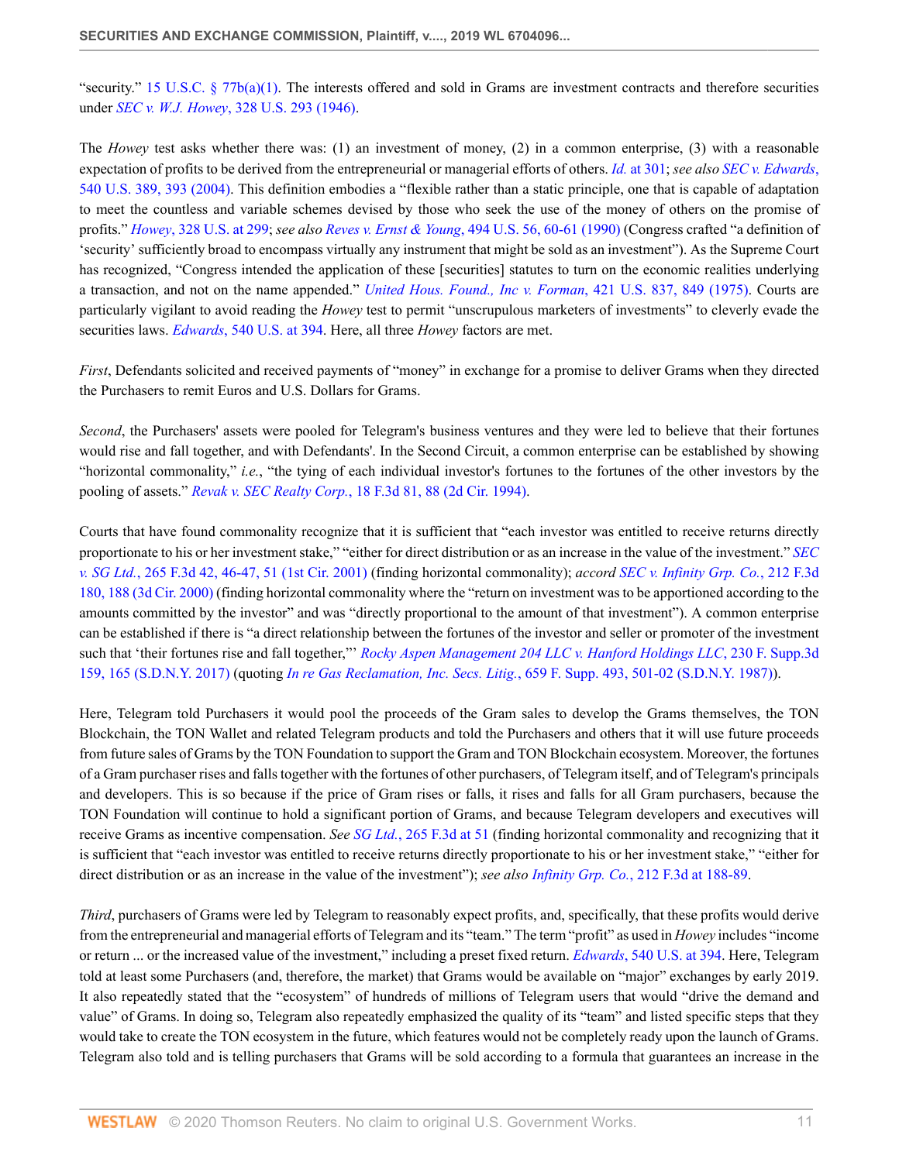"security." 15 U.S.C.  $\S$  77b(a)(1). The interests offered and sold in Grams are investment contracts and therefore securities under *SEC v. W.J. Howey*[, 328 U.S. 293 \(1946\)](http://www.westlaw.com/Link/Document/FullText?findType=Y&serNum=1946116181&pubNum=0000780&originatingDoc=Ifbece8101b6711eab410ab1c3b910894&refType=RP&originationContext=document&vr=3.0&rs=cblt1.0&transitionType=DocumentItem&contextData=(sc.RelatedInfo)).

The *Howey* test asks whether there was: (1) an investment of money, (2) in a common enterprise, (3) with a reasonable expectation of profits to be derived from the entrepreneurial or managerial efforts of others. *Id.* [at 301;](http://www.westlaw.com/Link/Document/FullText?findType=Y&serNum=1946116181&pubNum=0000780&originatingDoc=Ifbece8101b6711eab410ab1c3b910894&refType=RP&fi=co_pp_sp_780_301&originationContext=document&vr=3.0&rs=cblt1.0&transitionType=DocumentItem&contextData=(sc.RelatedInfo)#co_pp_sp_780_301) *see also [SEC v. Edwards](http://www.westlaw.com/Link/Document/FullText?findType=Y&serNum=2004059145&pubNum=0000780&originatingDoc=Ifbece8101b6711eab410ab1c3b910894&refType=RP&fi=co_pp_sp_780_393&originationContext=document&vr=3.0&rs=cblt1.0&transitionType=DocumentItem&contextData=(sc.RelatedInfo)#co_pp_sp_780_393)*, [540 U.S. 389, 393 \(2004\).](http://www.westlaw.com/Link/Document/FullText?findType=Y&serNum=2004059145&pubNum=0000780&originatingDoc=Ifbece8101b6711eab410ab1c3b910894&refType=RP&fi=co_pp_sp_780_393&originationContext=document&vr=3.0&rs=cblt1.0&transitionType=DocumentItem&contextData=(sc.RelatedInfo)#co_pp_sp_780_393) This definition embodies a "flexible rather than a static principle, one that is capable of adaptation to meet the countless and variable schemes devised by those who seek the use of the money of others on the promise of profits." *Howey*[, 328 U.S. at 299](http://www.westlaw.com/Link/Document/FullText?findType=Y&serNum=1946116181&pubNum=0000780&originatingDoc=Ifbece8101b6711eab410ab1c3b910894&refType=RP&fi=co_pp_sp_780_299&originationContext=document&vr=3.0&rs=cblt1.0&transitionType=DocumentItem&contextData=(sc.RelatedInfo)#co_pp_sp_780_299); *see also Reves v. Ernst & Young*[, 494 U.S. 56, 60-61 \(1990\)](http://www.westlaw.com/Link/Document/FullText?findType=Y&serNum=1990038585&pubNum=0000780&originatingDoc=Ifbece8101b6711eab410ab1c3b910894&refType=RP&fi=co_pp_sp_780_60&originationContext=document&vr=3.0&rs=cblt1.0&transitionType=DocumentItem&contextData=(sc.RelatedInfo)#co_pp_sp_780_60) (Congress crafted "a definition of 'security' sufficiently broad to encompass virtually any instrument that might be sold as an investment"). As the Supreme Court has recognized, "Congress intended the application of these [securities] statutes to turn on the economic realities underlying a transaction, and not on the name appended." *[United Hous. Found., Inc v. Forman](http://www.westlaw.com/Link/Document/FullText?findType=Y&serNum=1975129810&pubNum=0000780&originatingDoc=Ifbece8101b6711eab410ab1c3b910894&refType=RP&fi=co_pp_sp_780_849&originationContext=document&vr=3.0&rs=cblt1.0&transitionType=DocumentItem&contextData=(sc.RelatedInfo)#co_pp_sp_780_849)*, 421 U.S. 837, 849 (1975). Courts are particularly vigilant to avoid reading the *Howey* test to permit "unscrupulous marketers of investments" to cleverly evade the securities laws. *Edwards*[, 540 U.S. at 394](http://www.westlaw.com/Link/Document/FullText?findType=Y&serNum=2004059145&pubNum=0000780&originatingDoc=Ifbece8101b6711eab410ab1c3b910894&refType=RP&fi=co_pp_sp_780_394&originationContext=document&vr=3.0&rs=cblt1.0&transitionType=DocumentItem&contextData=(sc.RelatedInfo)#co_pp_sp_780_394). Here, all three *Howey* factors are met.

*First*, Defendants solicited and received payments of "money" in exchange for a promise to deliver Grams when they directed the Purchasers to remit Euros and U.S. Dollars for Grams.

*Second*, the Purchasers' assets were pooled for Telegram's business ventures and they were led to believe that their fortunes would rise and fall together, and with Defendants'. In the Second Circuit, a common enterprise can be established by showing "horizontal commonality," *i.e.*, "the tying of each individual investor's fortunes to the fortunes of the other investors by the pooling of assets." *Revak v. SEC Realty Corp.*[, 18 F.3d 81, 88 \(2d Cir. 1994\).](http://www.westlaw.com/Link/Document/FullText?findType=Y&serNum=1994054263&pubNum=0000506&originatingDoc=Ifbece8101b6711eab410ab1c3b910894&refType=RP&fi=co_pp_sp_506_88&originationContext=document&vr=3.0&rs=cblt1.0&transitionType=DocumentItem&contextData=(sc.RelatedInfo)#co_pp_sp_506_88)

Courts that have found commonality recognize that it is sufficient that "each investor was entitled to receive returns directly proportionate to his or her investment stake," "either for direct distribution or as an increase in the value of the investment." *[SEC](http://www.westlaw.com/Link/Document/FullText?findType=Y&serNum=2001766305&pubNum=0000506&originatingDoc=Ifbece8101b6711eab410ab1c3b910894&refType=RP&fi=co_pp_sp_506_46&originationContext=document&vr=3.0&rs=cblt1.0&transitionType=DocumentItem&contextData=(sc.RelatedInfo)#co_pp_sp_506_46) v. SG Ltd.*[, 265 F.3d 42, 46-47, 51 \(1st Cir. 2001\)](http://www.westlaw.com/Link/Document/FullText?findType=Y&serNum=2001766305&pubNum=0000506&originatingDoc=Ifbece8101b6711eab410ab1c3b910894&refType=RP&fi=co_pp_sp_506_46&originationContext=document&vr=3.0&rs=cblt1.0&transitionType=DocumentItem&contextData=(sc.RelatedInfo)#co_pp_sp_506_46) (finding horizontal commonality); *accord [SEC v. Infinity Grp. Co.](http://www.westlaw.com/Link/Document/FullText?findType=Y&serNum=2000301951&pubNum=0000506&originatingDoc=Ifbece8101b6711eab410ab1c3b910894&refType=RP&fi=co_pp_sp_506_188&originationContext=document&vr=3.0&rs=cblt1.0&transitionType=DocumentItem&contextData=(sc.RelatedInfo)#co_pp_sp_506_188)*, 212 F.3d [180, 188 \(3d Cir. 2000\)](http://www.westlaw.com/Link/Document/FullText?findType=Y&serNum=2000301951&pubNum=0000506&originatingDoc=Ifbece8101b6711eab410ab1c3b910894&refType=RP&fi=co_pp_sp_506_188&originationContext=document&vr=3.0&rs=cblt1.0&transitionType=DocumentItem&contextData=(sc.RelatedInfo)#co_pp_sp_506_188) (finding horizontal commonality where the "return on investment was to be apportioned according to the amounts committed by the investor" and was "directly proportional to the amount of that investment"). A common enterprise can be established if there is "a direct relationship between the fortunes of the investor and seller or promoter of the investment such that 'their fortunes rise and fall together,"' *[Rocky Aspen Management 204 LLC v. Hanford Holdings LLC](http://www.westlaw.com/Link/Document/FullText?findType=Y&serNum=2040979222&pubNum=0007903&originatingDoc=Ifbece8101b6711eab410ab1c3b910894&refType=RP&fi=co_pp_sp_7903_165&originationContext=document&vr=3.0&rs=cblt1.0&transitionType=DocumentItem&contextData=(sc.RelatedInfo)#co_pp_sp_7903_165)*, 230 F. Supp.3d [159, 165 \(S.D.N.Y. 2017\)](http://www.westlaw.com/Link/Document/FullText?findType=Y&serNum=2040979222&pubNum=0007903&originatingDoc=Ifbece8101b6711eab410ab1c3b910894&refType=RP&fi=co_pp_sp_7903_165&originationContext=document&vr=3.0&rs=cblt1.0&transitionType=DocumentItem&contextData=(sc.RelatedInfo)#co_pp_sp_7903_165) (quoting *In re Gas Reclamation, Inc. Secs. Litig.*[, 659 F. Supp. 493, 501-02 \(S.D.N.Y. 1987\)](http://www.westlaw.com/Link/Document/FullText?findType=Y&serNum=1987046940&pubNum=0000345&originatingDoc=Ifbece8101b6711eab410ab1c3b910894&refType=RP&fi=co_pp_sp_345_501&originationContext=document&vr=3.0&rs=cblt1.0&transitionType=DocumentItem&contextData=(sc.RelatedInfo)#co_pp_sp_345_501)).

Here, Telegram told Purchasers it would pool the proceeds of the Gram sales to develop the Grams themselves, the TON Blockchain, the TON Wallet and related Telegram products and told the Purchasers and others that it will use future proceeds from future sales of Grams by the TON Foundation to support the Gram and TON Blockchain ecosystem. Moreover, the fortunes of a Gram purchaser rises and falls together with the fortunes of other purchasers, of Telegram itself, and of Telegram's principals and developers. This is so because if the price of Gram rises or falls, it rises and falls for all Gram purchasers, because the TON Foundation will continue to hold a significant portion of Grams, and because Telegram developers and executives will receive Grams as incentive compensation. *See SG Ltd.*[, 265 F.3d at 51](http://www.westlaw.com/Link/Document/FullText?findType=Y&serNum=2001766305&pubNum=0000506&originatingDoc=Ifbece8101b6711eab410ab1c3b910894&refType=RP&fi=co_pp_sp_506_51&originationContext=document&vr=3.0&rs=cblt1.0&transitionType=DocumentItem&contextData=(sc.RelatedInfo)#co_pp_sp_506_51) (finding horizontal commonality and recognizing that it is sufficient that "each investor was entitled to receive returns directly proportionate to his or her investment stake," "either for direct distribution or as an increase in the value of the investment"); *see also Infinity Grp. Co.*[, 212 F.3d at 188-89](http://www.westlaw.com/Link/Document/FullText?findType=Y&serNum=2000301951&pubNum=0000506&originatingDoc=Ifbece8101b6711eab410ab1c3b910894&refType=RP&fi=co_pp_sp_506_188&originationContext=document&vr=3.0&rs=cblt1.0&transitionType=DocumentItem&contextData=(sc.RelatedInfo)#co_pp_sp_506_188).

*Third*, purchasers of Grams were led by Telegram to reasonably expect profits, and, specifically, that these profits would derive from the entrepreneurial and managerial efforts of Telegram and its "team." The term "profit" as used in *Howey* includes "income or return ... or the increased value of the investment," including a preset fixed return. *Edwards*[, 540 U.S. at 394.](http://www.westlaw.com/Link/Document/FullText?findType=Y&serNum=2004059145&pubNum=0000780&originatingDoc=Ifbece8101b6711eab410ab1c3b910894&refType=RP&fi=co_pp_sp_780_394&originationContext=document&vr=3.0&rs=cblt1.0&transitionType=DocumentItem&contextData=(sc.RelatedInfo)#co_pp_sp_780_394) Here, Telegram told at least some Purchasers (and, therefore, the market) that Grams would be available on "major" exchanges by early 2019. It also repeatedly stated that the "ecosystem" of hundreds of millions of Telegram users that would "drive the demand and value" of Grams. In doing so, Telegram also repeatedly emphasized the quality of its "team" and listed specific steps that they would take to create the TON ecosystem in the future, which features would not be completely ready upon the launch of Grams. Telegram also told and is telling purchasers that Grams will be sold according to a formula that guarantees an increase in the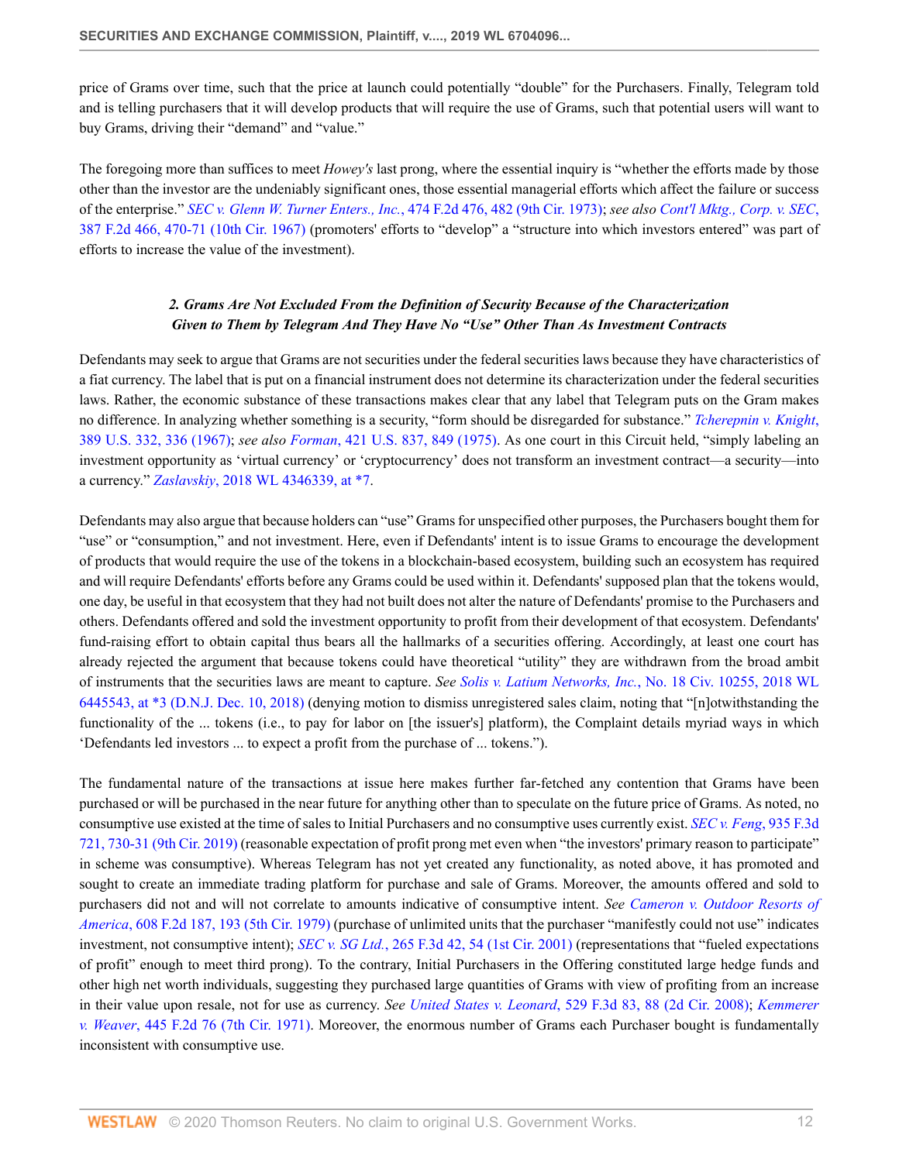price of Grams over time, such that the price at launch could potentially "double" for the Purchasers. Finally, Telegram told and is telling purchasers that it will develop products that will require the use of Grams, such that potential users will want to buy Grams, driving their "demand" and "value."

The foregoing more than suffices to meet *Howey's* last prong, where the essential inquiry is "whether the efforts made by those other than the investor are the undeniably significant ones, those essential managerial efforts which affect the failure or success of the enterprise." *[SEC v. Glenn W. Turner Enters., Inc.](http://www.westlaw.com/Link/Document/FullText?findType=Y&serNum=1973108745&pubNum=0000350&originatingDoc=Ifbece8101b6711eab410ab1c3b910894&refType=RP&fi=co_pp_sp_350_482&originationContext=document&vr=3.0&rs=cblt1.0&transitionType=DocumentItem&contextData=(sc.RelatedInfo)#co_pp_sp_350_482)*, 474 F.2d 476, 482 (9th Cir. 1973); *see also [Cont'l Mktg., Corp. v. SEC](http://www.westlaw.com/Link/Document/FullText?findType=Y&serNum=1967119048&pubNum=0000350&originatingDoc=Ifbece8101b6711eab410ab1c3b910894&refType=RP&fi=co_pp_sp_350_470&originationContext=document&vr=3.0&rs=cblt1.0&transitionType=DocumentItem&contextData=(sc.RelatedInfo)#co_pp_sp_350_470)*, [387 F.2d 466, 470-71 \(10th Cir. 1967\)](http://www.westlaw.com/Link/Document/FullText?findType=Y&serNum=1967119048&pubNum=0000350&originatingDoc=Ifbece8101b6711eab410ab1c3b910894&refType=RP&fi=co_pp_sp_350_470&originationContext=document&vr=3.0&rs=cblt1.0&transitionType=DocumentItem&contextData=(sc.RelatedInfo)#co_pp_sp_350_470) (promoters' efforts to "develop" a "structure into which investors entered" was part of efforts to increase the value of the investment).

# *2. Grams Are Not Excluded From the Definition of Security Because of the Characterization Given to Them by Telegram And They Have No "Use" Other Than As Investment Contracts*

Defendants may seek to argue that Grams are not securities under the federal securities laws because they have characteristics of a fiat currency. The label that is put on a financial instrument does not determine its characterization under the federal securities laws. Rather, the economic substance of these transactions makes clear that any label that Telegram puts on the Gram makes no difference. In analyzing whether something is a security, "form should be disregarded for substance." *[Tcherepnin v. Knight](http://www.westlaw.com/Link/Document/FullText?findType=Y&serNum=1967137679&pubNum=0000780&originatingDoc=Ifbece8101b6711eab410ab1c3b910894&refType=RP&fi=co_pp_sp_780_336&originationContext=document&vr=3.0&rs=cblt1.0&transitionType=DocumentItem&contextData=(sc.RelatedInfo)#co_pp_sp_780_336)*, [389 U.S. 332, 336 \(1967\)](http://www.westlaw.com/Link/Document/FullText?findType=Y&serNum=1967137679&pubNum=0000780&originatingDoc=Ifbece8101b6711eab410ab1c3b910894&refType=RP&fi=co_pp_sp_780_336&originationContext=document&vr=3.0&rs=cblt1.0&transitionType=DocumentItem&contextData=(sc.RelatedInfo)#co_pp_sp_780_336); *see also Forman*[, 421 U.S. 837, 849 \(1975\)](http://www.westlaw.com/Link/Document/FullText?findType=Y&serNum=1975129810&pubNum=0000780&originatingDoc=Ifbece8101b6711eab410ab1c3b910894&refType=RP&fi=co_pp_sp_780_849&originationContext=document&vr=3.0&rs=cblt1.0&transitionType=DocumentItem&contextData=(sc.RelatedInfo)#co_pp_sp_780_849). As one court in this Circuit held, "simply labeling an investment opportunity as 'virtual currency' or 'cryptocurrency' does not transform an investment contract—a security—into a currency." *Zaslavskiy*[, 2018 WL 4346339, at \\*7](http://www.westlaw.com/Link/Document/FullText?findType=Y&serNum=2045478682&pubNum=0000999&originatingDoc=Ifbece8101b6711eab410ab1c3b910894&refType=RP&originationContext=document&vr=3.0&rs=cblt1.0&transitionType=DocumentItem&contextData=(sc.RelatedInfo)).

Defendants may also argue that because holders can "use" Grams for unspecified other purposes, the Purchasers bought them for "use" or "consumption," and not investment. Here, even if Defendants' intent is to issue Grams to encourage the development of products that would require the use of the tokens in a blockchain-based ecosystem, building such an ecosystem has required and will require Defendants' efforts before any Grams could be used within it. Defendants' supposed plan that the tokens would, one day, be useful in that ecosystem that they had not built does not alter the nature of Defendants' promise to the Purchasers and others. Defendants offered and sold the investment opportunity to profit from their development of that ecosystem. Defendants' fund-raising effort to obtain capital thus bears all the hallmarks of a securities offering. Accordingly, at least one court has already rejected the argument that because tokens could have theoretical "utility" they are withdrawn from the broad ambit of instruments that the securities laws are meant to capture. *See Solis v. Latium Networks, Inc.*[, No. 18 Civ. 10255, 2018 WL](http://www.westlaw.com/Link/Document/FullText?findType=Y&serNum=2047058046&pubNum=0000999&originatingDoc=Ifbece8101b6711eab410ab1c3b910894&refType=RP&originationContext=document&vr=3.0&rs=cblt1.0&transitionType=DocumentItem&contextData=(sc.RelatedInfo)) [6445543, at \\*3 \(D.N.J. Dec. 10, 2018\)](http://www.westlaw.com/Link/Document/FullText?findType=Y&serNum=2047058046&pubNum=0000999&originatingDoc=Ifbece8101b6711eab410ab1c3b910894&refType=RP&originationContext=document&vr=3.0&rs=cblt1.0&transitionType=DocumentItem&contextData=(sc.RelatedInfo)) (denying motion to dismiss unregistered sales claim, noting that "[n]otwithstanding the functionality of the ... tokens (i.e., to pay for labor on [the issuer's] platform), the Complaint details myriad ways in which 'Defendants led investors ... to expect a profit from the purchase of ... tokens.").

The fundamental nature of the transactions at issue here makes further far-fetched any contention that Grams have been purchased or will be purchased in the near future for anything other than to speculate on the future price of Grams. As noted, no consumptive use existed at the time of sales to Initial Purchasers and no consumptive uses currently exist. *[SEC v. Feng](http://www.westlaw.com/Link/Document/FullText?findType=Y&serNum=2048967119&pubNum=0000506&originatingDoc=Ifbece8101b6711eab410ab1c3b910894&refType=RP&fi=co_pp_sp_506_730&originationContext=document&vr=3.0&rs=cblt1.0&transitionType=DocumentItem&contextData=(sc.RelatedInfo)#co_pp_sp_506_730)*, 935 F.3d [721, 730-31 \(9th Cir. 2019\)](http://www.westlaw.com/Link/Document/FullText?findType=Y&serNum=2048967119&pubNum=0000506&originatingDoc=Ifbece8101b6711eab410ab1c3b910894&refType=RP&fi=co_pp_sp_506_730&originationContext=document&vr=3.0&rs=cblt1.0&transitionType=DocumentItem&contextData=(sc.RelatedInfo)#co_pp_sp_506_730) (reasonable expectation of profit prong met even when "the investors' primary reason to participate" in scheme was consumptive). Whereas Telegram has not yet created any functionality, as noted above, it has promoted and sought to create an immediate trading platform for purchase and sale of Grams. Moreover, the amounts offered and sold to purchasers did not and will not correlate to amounts indicative of consumptive intent. *See [Cameron v. Outdoor Resorts of](http://www.westlaw.com/Link/Document/FullText?findType=Y&serNum=1979115056&pubNum=0000350&originatingDoc=Ifbece8101b6711eab410ab1c3b910894&refType=RP&fi=co_pp_sp_350_193&originationContext=document&vr=3.0&rs=cblt1.0&transitionType=DocumentItem&contextData=(sc.RelatedInfo)#co_pp_sp_350_193) America*[, 608 F.2d 187, 193 \(5th Cir. 1979\)](http://www.westlaw.com/Link/Document/FullText?findType=Y&serNum=1979115056&pubNum=0000350&originatingDoc=Ifbece8101b6711eab410ab1c3b910894&refType=RP&fi=co_pp_sp_350_193&originationContext=document&vr=3.0&rs=cblt1.0&transitionType=DocumentItem&contextData=(sc.RelatedInfo)#co_pp_sp_350_193) (purchase of unlimited units that the purchaser "manifestly could not use" indicates investment, not consumptive intent); *SEC v. SG Ltd.*[, 265 F.3d 42, 54 \(1st Cir. 2001\)](http://www.westlaw.com/Link/Document/FullText?findType=Y&serNum=2001766305&pubNum=0000506&originatingDoc=Ifbece8101b6711eab410ab1c3b910894&refType=RP&fi=co_pp_sp_506_54&originationContext=document&vr=3.0&rs=cblt1.0&transitionType=DocumentItem&contextData=(sc.RelatedInfo)#co_pp_sp_506_54) (representations that "fueled expectations of profit" enough to meet third prong). To the contrary, Initial Purchasers in the Offering constituted large hedge funds and other high net worth individuals, suggesting they purchased large quantities of Grams with view of profiting from an increase in their value upon resale, not for use as currency. *See United States v. Leonard*[, 529 F.3d 83, 88 \(2d Cir. 2008\)](http://www.westlaw.com/Link/Document/FullText?findType=Y&serNum=2016289599&pubNum=0000506&originatingDoc=Ifbece8101b6711eab410ab1c3b910894&refType=RP&fi=co_pp_sp_506_88&originationContext=document&vr=3.0&rs=cblt1.0&transitionType=DocumentItem&contextData=(sc.RelatedInfo)#co_pp_sp_506_88); *[Kemmerer](http://www.westlaw.com/Link/Document/FullText?findType=Y&serNum=1971111206&pubNum=0000350&originatingDoc=Ifbece8101b6711eab410ab1c3b910894&refType=RP&originationContext=document&vr=3.0&rs=cblt1.0&transitionType=DocumentItem&contextData=(sc.RelatedInfo)) v. Weaver*[, 445 F.2d 76 \(7th Cir. 1971\)](http://www.westlaw.com/Link/Document/FullText?findType=Y&serNum=1971111206&pubNum=0000350&originatingDoc=Ifbece8101b6711eab410ab1c3b910894&refType=RP&originationContext=document&vr=3.0&rs=cblt1.0&transitionType=DocumentItem&contextData=(sc.RelatedInfo)). Moreover, the enormous number of Grams each Purchaser bought is fundamentally inconsistent with consumptive use.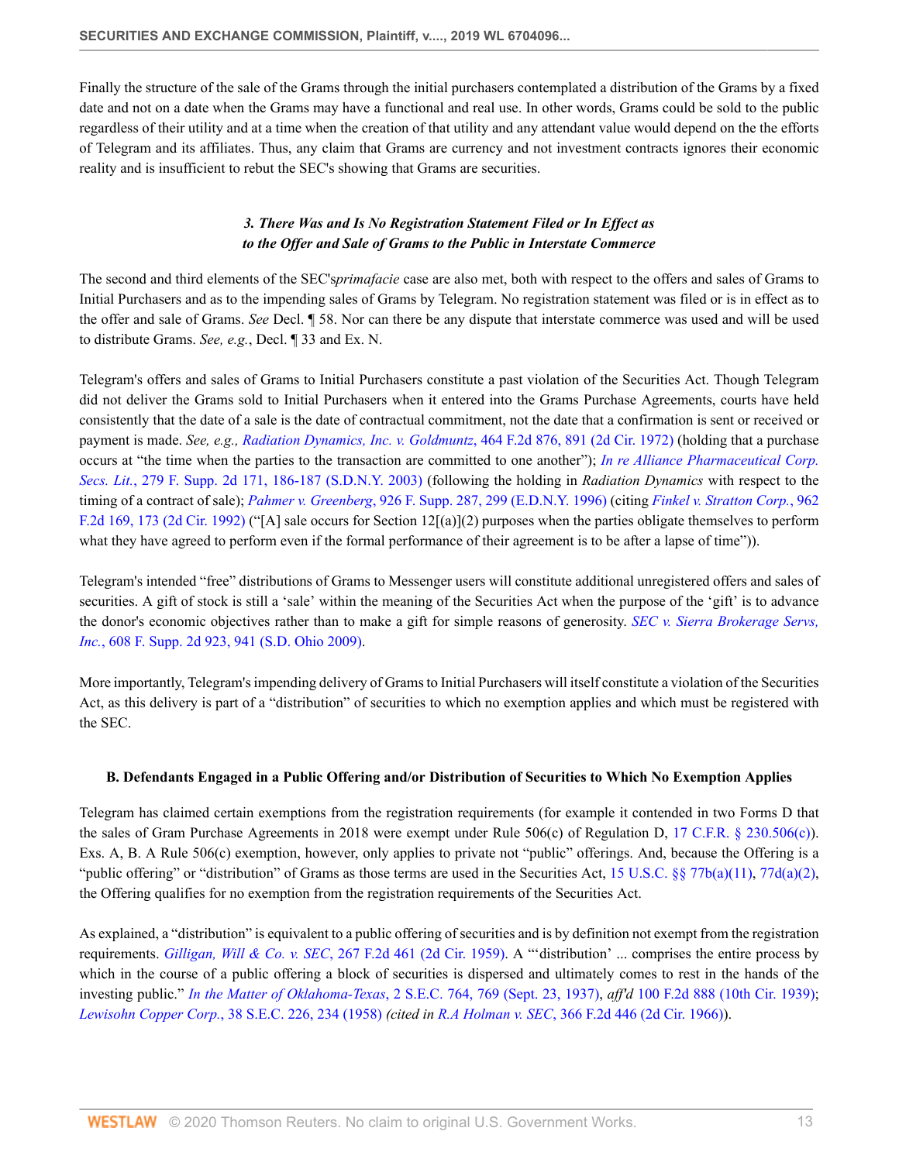Finally the structure of the sale of the Grams through the initial purchasers contemplated a distribution of the Grams by a fixed date and not on a date when the Grams may have a functional and real use. In other words, Grams could be sold to the public regardless of their utility and at a time when the creation of that utility and any attendant value would depend on the the efforts of Telegram and its affiliates. Thus, any claim that Grams are currency and not investment contracts ignores their economic reality and is insufficient to rebut the SEC's showing that Grams are securities.

# *3. There Was and Is No Registration Statement Filed or In Effect as to the Offer and Sale of Grams to the Public in Interstate Commerce*

The second and third elements of the SEC's*primafacie* case are also met, both with respect to the offers and sales of Grams to Initial Purchasers and as to the impending sales of Grams by Telegram. No registration statement was filed or is in effect as to the offer and sale of Grams. *See* Decl. ¶ 58. Nor can there be any dispute that interstate commerce was used and will be used to distribute Grams. *See, e.g.*, Decl. ¶ 33 and Ex. N.

Telegram's offers and sales of Grams to Initial Purchasers constitute a past violation of the Securities Act. Though Telegram did not deliver the Grams sold to Initial Purchasers when it entered into the Grams Purchase Agreements, courts have held consistently that the date of a sale is the date of contractual commitment, not the date that a confirmation is sent or received or payment is made. *See, e.g., [Radiation Dynamics, Inc. v. Goldmuntz](http://www.westlaw.com/Link/Document/FullText?findType=Y&serNum=1972111359&pubNum=0000350&originatingDoc=Ifbece8101b6711eab410ab1c3b910894&refType=RP&fi=co_pp_sp_350_891&originationContext=document&vr=3.0&rs=cblt1.0&transitionType=DocumentItem&contextData=(sc.RelatedInfo)#co_pp_sp_350_891)*, 464 F.2d 876, 891 (2d Cir. 1972) (holding that a purchase occurs at "the time when the parties to the transaction are committed to one another"); *[In re Alliance Pharmaceutical Corp.](http://www.westlaw.com/Link/Document/FullText?findType=Y&serNum=2003575934&pubNum=0004637&originatingDoc=Ifbece8101b6711eab410ab1c3b910894&refType=RP&fi=co_pp_sp_4637_186&originationContext=document&vr=3.0&rs=cblt1.0&transitionType=DocumentItem&contextData=(sc.RelatedInfo)#co_pp_sp_4637_186) Secs. Lit.*[, 279 F. Supp. 2d 171, 186-187 \(S.D.N.Y. 2003\)](http://www.westlaw.com/Link/Document/FullText?findType=Y&serNum=2003575934&pubNum=0004637&originatingDoc=Ifbece8101b6711eab410ab1c3b910894&refType=RP&fi=co_pp_sp_4637_186&originationContext=document&vr=3.0&rs=cblt1.0&transitionType=DocumentItem&contextData=(sc.RelatedInfo)#co_pp_sp_4637_186) (following the holding in *Radiation Dynamics* with respect to the timing of a contract of sale); *Pahmer v. Greenberg*[, 926 F. Supp. 287, 299 \(E.D.N.Y. 1996\)](http://www.westlaw.com/Link/Document/FullText?findType=Y&serNum=1996114553&pubNum=0000345&originatingDoc=Ifbece8101b6711eab410ab1c3b910894&refType=RP&fi=co_pp_sp_345_299&originationContext=document&vr=3.0&rs=cblt1.0&transitionType=DocumentItem&contextData=(sc.RelatedInfo)#co_pp_sp_345_299) (citing *[Finkel v. Stratton Corp.](http://www.westlaw.com/Link/Document/FullText?findType=Y&serNum=1992079059&pubNum=0000350&originatingDoc=Ifbece8101b6711eab410ab1c3b910894&refType=RP&fi=co_pp_sp_350_173&originationContext=document&vr=3.0&rs=cblt1.0&transitionType=DocumentItem&contextData=(sc.RelatedInfo)#co_pp_sp_350_173)*, 962 [F.2d 169, 173 \(2d Cir. 1992\)](http://www.westlaw.com/Link/Document/FullText?findType=Y&serNum=1992079059&pubNum=0000350&originatingDoc=Ifbece8101b6711eab410ab1c3b910894&refType=RP&fi=co_pp_sp_350_173&originationContext=document&vr=3.0&rs=cblt1.0&transitionType=DocumentItem&contextData=(sc.RelatedInfo)#co_pp_sp_350_173) ("[A] sale occurs for Section 12[(a)](2) purposes when the parties obligate themselves to perform what they have agreed to perform even if the formal performance of their agreement is to be after a lapse of time")).

Telegram's intended "free" distributions of Grams to Messenger users will constitute additional unregistered offers and sales of securities. A gift of stock is still a 'sale' within the meaning of the Securities Act when the purpose of the 'gift' is to advance the donor's economic objectives rather than to make a gift for simple reasons of generosity. *[SEC v. Sierra Brokerage Servs,](http://www.westlaw.com/Link/Document/FullText?findType=Y&serNum=2018505743&pubNum=0004637&originatingDoc=Ifbece8101b6711eab410ab1c3b910894&refType=RP&fi=co_pp_sp_4637_941&originationContext=document&vr=3.0&rs=cblt1.0&transitionType=DocumentItem&contextData=(sc.RelatedInfo)#co_pp_sp_4637_941) Inc.*[, 608 F. Supp. 2d 923, 941 \(S.D. Ohio 2009\).](http://www.westlaw.com/Link/Document/FullText?findType=Y&serNum=2018505743&pubNum=0004637&originatingDoc=Ifbece8101b6711eab410ab1c3b910894&refType=RP&fi=co_pp_sp_4637_941&originationContext=document&vr=3.0&rs=cblt1.0&transitionType=DocumentItem&contextData=(sc.RelatedInfo)#co_pp_sp_4637_941)

More importantly, Telegram's impending delivery of Grams to Initial Purchasers will itself constitute a violation of the Securities Act, as this delivery is part of a "distribution" of securities to which no exemption applies and which must be registered with the SEC.

# **B. Defendants Engaged in a Public Offering and/or Distribution of Securities to Which No Exemption Applies**

Telegram has claimed certain exemptions from the registration requirements (for example it contended in two Forms D that the sales of Gram Purchase Agreements in 2018 were exempt under Rule 506(c) of Regulation D, [17 C.F.R. § 230.506\(c\)](http://www.westlaw.com/Link/Document/FullText?findType=L&pubNum=1000547&cite=17CFRS230.506&originatingDoc=Ifbece8101b6711eab410ab1c3b910894&refType=RB&originationContext=document&vr=3.0&rs=cblt1.0&transitionType=DocumentItem&contextData=(sc.RelatedInfo)#co_pp_4b24000003ba5)). Exs. A, B. A Rule 506(c) exemption, however, only applies to private not "public" offerings. And, because the Offering is a "public offering" or "distribution" of Grams as those terms are used in the Securities Act, [15 U.S.C. §§ 77b\(a\)\(11\),](http://www.westlaw.com/Link/Document/FullText?findType=L&pubNum=1000546&cite=15USCAS77B&originatingDoc=Ifbece8101b6711eab410ab1c3b910894&refType=RB&originationContext=document&vr=3.0&rs=cblt1.0&transitionType=DocumentItem&contextData=(sc.RelatedInfo)#co_pp_1d77000020cc6) [77d\(a\)\(2\)](http://www.westlaw.com/Link/Document/FullText?findType=L&pubNum=1000546&cite=15USCAS77D&originatingDoc=Ifbece8101b6711eab410ab1c3b910894&refType=RB&originationContext=document&vr=3.0&rs=cblt1.0&transitionType=DocumentItem&contextData=(sc.RelatedInfo)#co_pp_d86d0000be040), the Offering qualifies for no exemption from the registration requirements of the Securities Act.

As explained, a "distribution" is equivalent to a public offering of securities and is by definition not exempt from the registration requirements. *Gilligan, Will & Co. v. SEC*[, 267 F.2d 461 \(2d Cir. 1959\).](http://www.westlaw.com/Link/Document/FullText?findType=Y&serNum=1959110499&pubNum=0000350&originatingDoc=Ifbece8101b6711eab410ab1c3b910894&refType=RP&originationContext=document&vr=3.0&rs=cblt1.0&transitionType=DocumentItem&contextData=(sc.RelatedInfo)) A "'distribution' ... comprises the entire process by which in the course of a public offering a block of securities is dispersed and ultimately comes to rest in the hands of the investing public." *In the Matter of Oklahoma-Texas*[, 2 S.E.C. 764, 769 \(Sept. 23, 1937\)](http://www.westlaw.com/Link/Document/FullText?findType=Y&serNum=1937030925&pubNum=0001039&originatingDoc=Ifbece8101b6711eab410ab1c3b910894&refType=CA&fi=co_pp_sp_1039_769&originationContext=document&vr=3.0&rs=cblt1.0&transitionType=DocumentItem&contextData=(sc.RelatedInfo)#co_pp_sp_1039_769), *aff'd* [100 F.2d 888 \(10th Cir. 1939\)](http://www.westlaw.com/Link/Document/FullText?findType=Y&serNum=1939123500&pubNum=0000350&originatingDoc=Ifbece8101b6711eab410ab1c3b910894&refType=RP&originationContext=document&vr=3.0&rs=cblt1.0&transitionType=DocumentItem&contextData=(sc.RelatedInfo)); *Lewisohn Copper Corp.*[, 38 S.E.C. 226, 234 \(1958\)](http://www.westlaw.com/Link/Document/FullText?findType=Y&serNum=1958056986&pubNum=0001039&originatingDoc=Ifbece8101b6711eab410ab1c3b910894&refType=CA&fi=co_pp_sp_1039_234&originationContext=document&vr=3.0&rs=cblt1.0&transitionType=DocumentItem&contextData=(sc.RelatedInfo)#co_pp_sp_1039_234) *(cited in R.A Holman v. SEC*[, 366 F.2d 446 \(2d Cir. 1966\)\)](http://www.westlaw.com/Link/Document/FullText?findType=Y&serNum=1966122443&pubNum=0000350&originatingDoc=Ifbece8101b6711eab410ab1c3b910894&refType=RP&originationContext=document&vr=3.0&rs=cblt1.0&transitionType=DocumentItem&contextData=(sc.RelatedInfo)).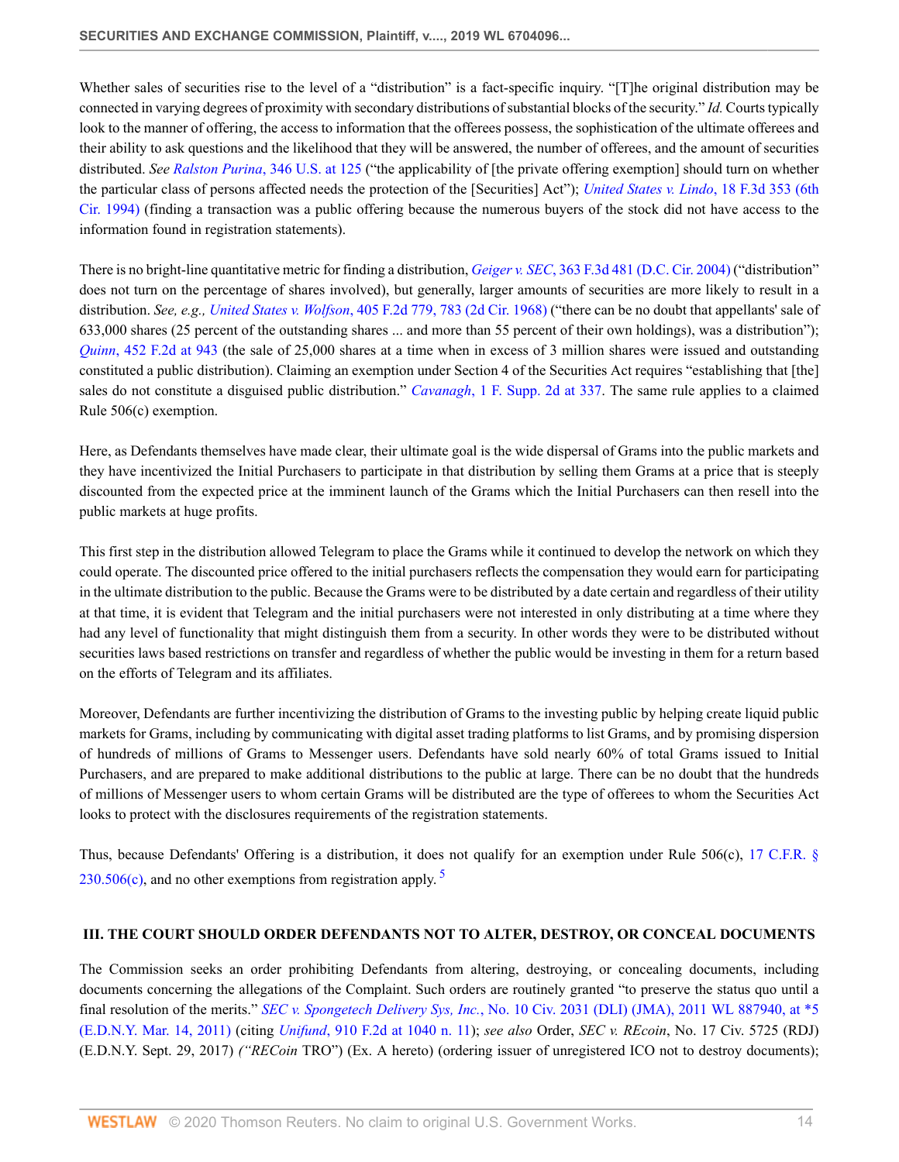Whether sales of securities rise to the level of a "distribution" is a fact-specific inquiry. "[T]he original distribution may be connected in varying degrees of proximity with secondary distributions of substantial blocks of the security." *Id.* Courts typically look to the manner of offering, the access to information that the offerees possess, the sophistication of the ultimate offerees and their ability to ask questions and the likelihood that they will be answered, the number of offerees, and the amount of securities distributed. *See Ralston Purina*[, 346 U.S. at 125](http://www.westlaw.com/Link/Document/FullText?findType=Y&serNum=1953121015&pubNum=0000780&originatingDoc=Ifbece8101b6711eab410ab1c3b910894&refType=RP&fi=co_pp_sp_780_125&originationContext=document&vr=3.0&rs=cblt1.0&transitionType=DocumentItem&contextData=(sc.RelatedInfo)#co_pp_sp_780_125) ("the applicability of [the private offering exemption] should turn on whether the particular class of persons affected needs the protection of the [Securities] Act"); *[United States v. Lindo](http://www.westlaw.com/Link/Document/FullText?findType=Y&serNum=1994061024&pubNum=0000506&originatingDoc=Ifbece8101b6711eab410ab1c3b910894&refType=RP&originationContext=document&vr=3.0&rs=cblt1.0&transitionType=DocumentItem&contextData=(sc.RelatedInfo))*, 18 F.3d 353 (6th [Cir. 1994\)](http://www.westlaw.com/Link/Document/FullText?findType=Y&serNum=1994061024&pubNum=0000506&originatingDoc=Ifbece8101b6711eab410ab1c3b910894&refType=RP&originationContext=document&vr=3.0&rs=cblt1.0&transitionType=DocumentItem&contextData=(sc.RelatedInfo)) (finding a transaction was a public offering because the numerous buyers of the stock did not have access to the information found in registration statements).

There is no bright-line quantitative metric for finding a distribution, *Geiger v. SEC*[, 363 F.3d 481 \(D.C. Cir. 2004\)](http://www.westlaw.com/Link/Document/FullText?findType=Y&serNum=2004278662&pubNum=0000506&originatingDoc=Ifbece8101b6711eab410ab1c3b910894&refType=RP&originationContext=document&vr=3.0&rs=cblt1.0&transitionType=DocumentItem&contextData=(sc.RelatedInfo)) ("distribution" does not turn on the percentage of shares involved), but generally, larger amounts of securities are more likely to result in a distribution. *See, e.g., United States v. Wolfson*[, 405 F.2d 779, 783 \(2d Cir. 1968\)](http://www.westlaw.com/Link/Document/FullText?findType=Y&serNum=1968120362&pubNum=0000350&originatingDoc=Ifbece8101b6711eab410ab1c3b910894&refType=RP&fi=co_pp_sp_350_783&originationContext=document&vr=3.0&rs=cblt1.0&transitionType=DocumentItem&contextData=(sc.RelatedInfo)#co_pp_sp_350_783) ("there can be no doubt that appellants' sale of 633,000 shares (25 percent of the outstanding shares ... and more than 55 percent of their own holdings), was a distribution"); *Quinn*[, 452 F.2d at 943](http://www.westlaw.com/Link/Document/FullText?findType=Y&serNum=1971113797&pubNum=0000350&originatingDoc=Ifbece8101b6711eab410ab1c3b910894&refType=RP&fi=co_pp_sp_350_943&originationContext=document&vr=3.0&rs=cblt1.0&transitionType=DocumentItem&contextData=(sc.RelatedInfo)#co_pp_sp_350_943) (the sale of 25,000 shares at a time when in excess of 3 million shares were issued and outstanding constituted a public distribution). Claiming an exemption under Section 4 of the Securities Act requires "establishing that [the] sales do not constitute a disguised public distribution." *Cavanagh*[, 1 F. Supp. 2d at 337.](http://www.westlaw.com/Link/Document/FullText?findType=Y&serNum=1998093023&pubNum=0004637&originatingDoc=Ifbece8101b6711eab410ab1c3b910894&refType=RP&fi=co_pp_sp_4637_337&originationContext=document&vr=3.0&rs=cblt1.0&transitionType=DocumentItem&contextData=(sc.RelatedInfo)#co_pp_sp_4637_337) The same rule applies to a claimed Rule 506(c) exemption.

Here, as Defendants themselves have made clear, their ultimate goal is the wide dispersal of Grams into the public markets and they have incentivized the Initial Purchasers to participate in that distribution by selling them Grams at a price that is steeply discounted from the expected price at the imminent launch of the Grams which the Initial Purchasers can then resell into the public markets at huge profits.

This first step in the distribution allowed Telegram to place the Grams while it continued to develop the network on which they could operate. The discounted price offered to the initial purchasers reflects the compensation they would earn for participating in the ultimate distribution to the public. Because the Grams were to be distributed by a date certain and regardless of their utility at that time, it is evident that Telegram and the initial purchasers were not interested in only distributing at a time where they had any level of functionality that might distinguish them from a security. In other words they were to be distributed without securities laws based restrictions on transfer and regardless of whether the public would be investing in them for a return based on the efforts of Telegram and its affiliates.

Moreover, Defendants are further incentivizing the distribution of Grams to the investing public by helping create liquid public markets for Grams, including by communicating with digital asset trading platforms to list Grams, and by promising dispersion of hundreds of millions of Grams to Messenger users. Defendants have sold nearly 60% of total Grams issued to Initial Purchasers, and are prepared to make additional distributions to the public at large. There can be no doubt that the hundreds of millions of Messenger users to whom certain Grams will be distributed are the type of offerees to whom the Securities Act looks to protect with the disclosures requirements of the registration statements.

<span id="page-13-0"></span>Thus, because Defendants' Offering is a distribution, it does not qualify for an exemption under Rule 506(c), [17 C.F.R. §](http://www.westlaw.com/Link/Document/FullText?findType=L&pubNum=1000547&cite=17CFRS230.506&originatingDoc=Ifbece8101b6711eab410ab1c3b910894&refType=RB&originationContext=document&vr=3.0&rs=cblt1.0&transitionType=DocumentItem&contextData=(sc.RelatedInfo)#co_pp_4b24000003ba5)  $230.506(c)$  $230.506(c)$  $230.506(c)$ , and no other exemptions from registration apply.<sup>5</sup>

## **III. THE COURT SHOULD ORDER DEFENDANTS NOT TO ALTER, DESTROY, OR CONCEAL DOCUMENTS**

The Commission seeks an order prohibiting Defendants from altering, destroying, or concealing documents, including documents concerning the allegations of the Complaint. Such orders are routinely granted "to preserve the status quo until a final resolution of the merits." *SEC v. Spongetech Delivery Sys, Inc.*[, No. 10 Civ. 2031 \(DLI\) \(JMA\), 2011 WL 887940, at \\*5](http://www.westlaw.com/Link/Document/FullText?findType=Y&serNum=2024795051&pubNum=0000999&originatingDoc=Ifbece8101b6711eab410ab1c3b910894&refType=RP&originationContext=document&vr=3.0&rs=cblt1.0&transitionType=DocumentItem&contextData=(sc.RelatedInfo)) [\(E.D.N.Y. Mar. 14, 2011\)](http://www.westlaw.com/Link/Document/FullText?findType=Y&serNum=2024795051&pubNum=0000999&originatingDoc=Ifbece8101b6711eab410ab1c3b910894&refType=RP&originationContext=document&vr=3.0&rs=cblt1.0&transitionType=DocumentItem&contextData=(sc.RelatedInfo)) (citing *Unifund*[, 910 F.2d at 1040 n. 11\)](http://www.westlaw.com/Link/Document/FullText?findType=Y&serNum=1990120987&pubNum=0000350&originatingDoc=Ifbece8101b6711eab410ab1c3b910894&refType=RP&fi=co_pp_sp_350_1040&originationContext=document&vr=3.0&rs=cblt1.0&transitionType=DocumentItem&contextData=(sc.RelatedInfo)#co_pp_sp_350_1040); *see also* Order, *SEC v. REcoin*, No. 17 Civ. 5725 (RDJ) (E.D.N.Y. Sept. 29, 2017) *("RECoin* TRO") (Ex. A hereto) (ordering issuer of unregistered ICO not to destroy documents);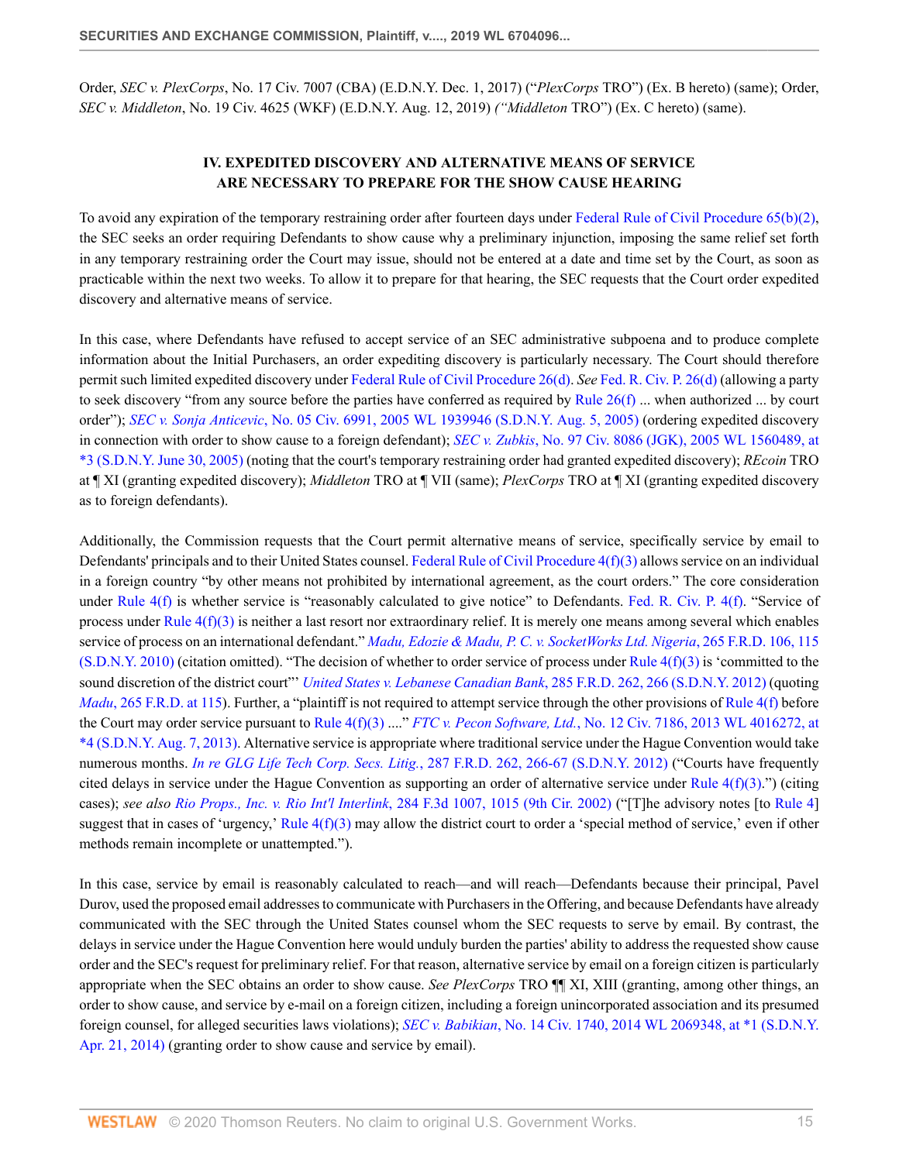Order, *SEC v. PlexCorps*, No. 17 Civ. 7007 (CBA) (E.D.N.Y. Dec. 1, 2017) ("*PlexCorps* TRO") (Ex. B hereto) (same); Order, *SEC v. Middleton*, No. 19 Civ. 4625 (WKF) (E.D.N.Y. Aug. 12, 2019) *("Middleton* TRO") (Ex. C hereto) (same).

# **IV. EXPEDITED DISCOVERY AND ALTERNATIVE MEANS OF SERVICE ARE NECESSARY TO PREPARE FOR THE SHOW CAUSE HEARING**

To avoid any expiration of the temporary restraining order after fourteen days under [Federal Rule of Civil Procedure 65\(b\)\(2\),](http://www.westlaw.com/Link/Document/FullText?findType=L&pubNum=1000600&cite=USFRCPR65&originatingDoc=Ifbece8101b6711eab410ab1c3b910894&refType=RB&originationContext=document&vr=3.0&rs=cblt1.0&transitionType=DocumentItem&contextData=(sc.RelatedInfo)#co_pp_c0ae00006c482) the SEC seeks an order requiring Defendants to show cause why a preliminary injunction, imposing the same relief set forth in any temporary restraining order the Court may issue, should not be entered at a date and time set by the Court, as soon as practicable within the next two weeks. To allow it to prepare for that hearing, the SEC requests that the Court order expedited discovery and alternative means of service.

In this case, where Defendants have refused to accept service of an SEC administrative subpoena and to produce complete information about the Initial Purchasers, an order expediting discovery is particularly necessary. The Court should therefore permit such limited expedited discovery under [Federal Rule of Civil Procedure 26\(d\).](http://www.westlaw.com/Link/Document/FullText?findType=L&pubNum=1000600&cite=USFRCPR26&originatingDoc=Ifbece8101b6711eab410ab1c3b910894&refType=RB&originationContext=document&vr=3.0&rs=cblt1.0&transitionType=DocumentItem&contextData=(sc.RelatedInfo)#co_pp_5ba1000067d06) *See*[Fed. R. Civ. P. 26\(d\)](http://www.westlaw.com/Link/Document/FullText?findType=L&pubNum=1000600&cite=USFRCPR26&originatingDoc=Ifbece8101b6711eab410ab1c3b910894&refType=RB&originationContext=document&vr=3.0&rs=cblt1.0&transitionType=DocumentItem&contextData=(sc.RelatedInfo)#co_pp_5ba1000067d06) (allowing a party to seek discovery "from any source before the parties have conferred as required by Rule  $26(f)$  ... when authorized ... by court order"); *SEC v. Sonja Anticevic*[, No. 05 Civ. 6991, 2005 WL 1939946 \(S.D.N.Y. Aug. 5, 2005\)](http://www.westlaw.com/Link/Document/FullText?findType=Y&serNum=2007136690&pubNum=0000999&originatingDoc=Ifbece8101b6711eab410ab1c3b910894&refType=RP&originationContext=document&vr=3.0&rs=cblt1.0&transitionType=DocumentItem&contextData=(sc.RelatedInfo)) (ordering expedited discovery in connection with order to show cause to a foreign defendant); *SEC v. Zubkis*[, No. 97 Civ. 8086 \(JGK\), 2005 WL 1560489, at](http://www.westlaw.com/Link/Document/FullText?findType=Y&serNum=2006901226&pubNum=0000999&originatingDoc=Ifbece8101b6711eab410ab1c3b910894&refType=RP&originationContext=document&vr=3.0&rs=cblt1.0&transitionType=DocumentItem&contextData=(sc.RelatedInfo)) [\\*3 \(S.D.N.Y. June 30, 2005\)](http://www.westlaw.com/Link/Document/FullText?findType=Y&serNum=2006901226&pubNum=0000999&originatingDoc=Ifbece8101b6711eab410ab1c3b910894&refType=RP&originationContext=document&vr=3.0&rs=cblt1.0&transitionType=DocumentItem&contextData=(sc.RelatedInfo)) (noting that the court's temporary restraining order had granted expedited discovery); *REcoin* TRO at ¶ XI (granting expedited discovery); *Middleton* TRO at ¶ VII (same); *PlexCorps* TRO at ¶ XI (granting expedited discovery as to foreign defendants).

Additionally, the Commission requests that the Court permit alternative means of service, specifically service by email to Defendants' principals and to their United States counsel. [Federal Rule of Civil Procedure 4\(f\)\(3\)](http://www.westlaw.com/Link/Document/FullText?findType=L&pubNum=1000600&cite=USFRCPR4&originatingDoc=Ifbece8101b6711eab410ab1c3b910894&refType=RB&originationContext=document&vr=3.0&rs=cblt1.0&transitionType=DocumentItem&contextData=(sc.RelatedInfo)#co_pp_f8fc0000f70d0) allows service on an individual in a foreign country "by other means not prohibited by international agreement, as the court orders." The core consideration under Rule  $4(f)$  is whether service is "reasonably calculated to give notice" to Defendants. Fed. R. Civ. P.  $4(f)$ . "Service of process under Rule  $4(f)(3)$  is neither a last resort nor extraordinary relief. It is merely one means among several which enables service of process on an international defendant." *[Madu, Edozie & Madu, P. C. v. SocketWorks Ltd. Nigeria](http://www.westlaw.com/Link/Document/FullText?findType=Y&serNum=2021228275&pubNum=0000344&originatingDoc=Ifbece8101b6711eab410ab1c3b910894&refType=RP&fi=co_pp_sp_344_115&originationContext=document&vr=3.0&rs=cblt1.0&transitionType=DocumentItem&contextData=(sc.RelatedInfo)#co_pp_sp_344_115)*, 265 F.R.D. 106, 115  $(S.D.N.Y. 2010)$  (citation omitted). "The decision of whether to order service of process under Rule  $4(f)(3)$  is 'committed to the sound discretion of the district court"' *[United States v. Lebanese Canadian Bank](http://www.westlaw.com/Link/Document/FullText?findType=Y&serNum=2027851389&pubNum=0000344&originatingDoc=Ifbece8101b6711eab410ab1c3b910894&refType=RP&fi=co_pp_sp_344_266&originationContext=document&vr=3.0&rs=cblt1.0&transitionType=DocumentItem&contextData=(sc.RelatedInfo)#co_pp_sp_344_266)*, 285 F.R.D. 262, 266 (S.D.N.Y. 2012) (quoting *Madu*[, 265 F.R.D. at 115](http://www.westlaw.com/Link/Document/FullText?findType=Y&serNum=2021228275&pubNum=0000344&originatingDoc=Ifbece8101b6711eab410ab1c3b910894&refType=RP&fi=co_pp_sp_344_115&originationContext=document&vr=3.0&rs=cblt1.0&transitionType=DocumentItem&contextData=(sc.RelatedInfo)#co_pp_sp_344_115)). Further, a "plaintiff is not required to attempt service through the other provisions of [Rule 4\(f\)](http://www.westlaw.com/Link/Document/FullText?findType=L&pubNum=1000600&cite=USFRCPR4&originatingDoc=Ifbece8101b6711eab410ab1c3b910894&refType=RB&originationContext=document&vr=3.0&rs=cblt1.0&transitionType=DocumentItem&contextData=(sc.RelatedInfo)#co_pp_ae0d0000c5150) before the Court may order service pursuant to [Rule 4\(f\)\(3\)](http://www.westlaw.com/Link/Document/FullText?findType=L&pubNum=1000600&cite=USFRCPR4&originatingDoc=Ifbece8101b6711eab410ab1c3b910894&refType=RB&originationContext=document&vr=3.0&rs=cblt1.0&transitionType=DocumentItem&contextData=(sc.RelatedInfo)#co_pp_f8fc0000f70d0) ...." *FTC v. Pecon Software, Ltd.*[, No. 12 Civ. 7186, 2013 WL 4016272, at](http://www.westlaw.com/Link/Document/FullText?findType=Y&serNum=2031248650&pubNum=0000999&originatingDoc=Ifbece8101b6711eab410ab1c3b910894&refType=RP&originationContext=document&vr=3.0&rs=cblt1.0&transitionType=DocumentItem&contextData=(sc.RelatedInfo)) [\\*4 \(S.D.N.Y. Aug. 7, 2013\).](http://www.westlaw.com/Link/Document/FullText?findType=Y&serNum=2031248650&pubNum=0000999&originatingDoc=Ifbece8101b6711eab410ab1c3b910894&refType=RP&originationContext=document&vr=3.0&rs=cblt1.0&transitionType=DocumentItem&contextData=(sc.RelatedInfo)) Alternative service is appropriate where traditional service under the Hague Convention would take numerous months. *In re GLG Life Tech Corp. Secs. Litig.*[, 287 F.R.D. 262, 266-67 \(S.D.N.Y. 2012\)](http://www.westlaw.com/Link/Document/FullText?findType=Y&serNum=2029178073&pubNum=0000344&originatingDoc=Ifbece8101b6711eab410ab1c3b910894&refType=RP&fi=co_pp_sp_344_266&originationContext=document&vr=3.0&rs=cblt1.0&transitionType=DocumentItem&contextData=(sc.RelatedInfo)#co_pp_sp_344_266) ("Courts have frequently cited delays in service under the Hague Convention as supporting an order of alternative service under Rule  $4(f)(3)$ .") (citing cases); *see also Rio Props., Inc. v. Rio Int'l Interlink*[, 284 F.3d 1007, 1015 \(9th Cir. 2002\)](http://www.westlaw.com/Link/Document/FullText?findType=Y&serNum=2002196447&pubNum=0000506&originatingDoc=Ifbece8101b6711eab410ab1c3b910894&refType=RP&fi=co_pp_sp_506_1015&originationContext=document&vr=3.0&rs=cblt1.0&transitionType=DocumentItem&contextData=(sc.RelatedInfo)#co_pp_sp_506_1015) ("[T]he advisory notes [to [Rule 4\]](http://www.westlaw.com/Link/Document/FullText?findType=L&pubNum=1000600&cite=USFRCPR4&originatingDoc=Ifbece8101b6711eab410ab1c3b910894&refType=LQ&originationContext=document&vr=3.0&rs=cblt1.0&transitionType=DocumentItem&contextData=(sc.RelatedInfo)) suggest that in cases of 'urgency,' Rule  $4(f)(3)$  may allow the district court to order a 'special method of service,' even if other methods remain incomplete or unattempted.").

In this case, service by email is reasonably calculated to reach—and will reach—Defendants because their principal, Pavel Durov, used the proposed email addresses to communicate with Purchasers in the Offering, and because Defendants have already communicated with the SEC through the United States counsel whom the SEC requests to serve by email. By contrast, the delays in service under the Hague Convention here would unduly burden the parties' ability to address the requested show cause order and the SEC's request for preliminary relief. For that reason, alternative service by email on a foreign citizen is particularly appropriate when the SEC obtains an order to show cause. *See PlexCorps* TRO ¶¶ XI, XIII (granting, among other things, an order to show cause, and service by e-mail on a foreign citizen, including a foreign unincorporated association and its presumed foreign counsel, for alleged securities laws violations); *SEC v. Babikian*[, No. 14 Civ. 1740, 2014 WL 2069348, at \\*1 \(S.D.N.Y.](http://www.westlaw.com/Link/Document/FullText?findType=Y&serNum=2033408831&pubNum=0000999&originatingDoc=Ifbece8101b6711eab410ab1c3b910894&refType=RP&originationContext=document&vr=3.0&rs=cblt1.0&transitionType=DocumentItem&contextData=(sc.RelatedInfo)) [Apr. 21, 2014\)](http://www.westlaw.com/Link/Document/FullText?findType=Y&serNum=2033408831&pubNum=0000999&originatingDoc=Ifbece8101b6711eab410ab1c3b910894&refType=RP&originationContext=document&vr=3.0&rs=cblt1.0&transitionType=DocumentItem&contextData=(sc.RelatedInfo)) (granting order to show cause and service by email).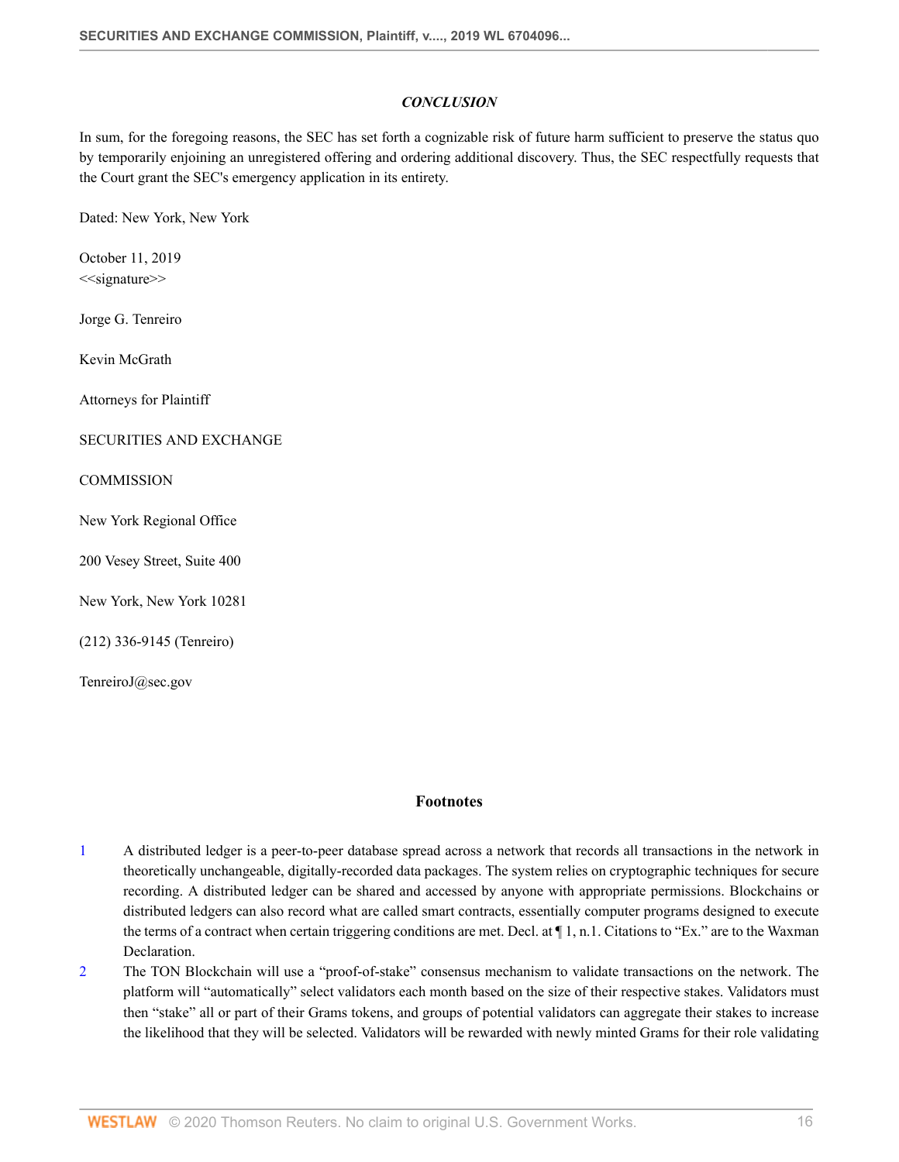## *CONCLUSION*

In sum, for the foregoing reasons, the SEC has set forth a cognizable risk of future harm sufficient to preserve the status quo by temporarily enjoining an unregistered offering and ordering additional discovery. Thus, the SEC respectfully requests that the Court grant the SEC's emergency application in its entirety.

Dated: New York, New York

October 11, 2019 <<signature>>

Jorge G. Tenreiro

Kevin McGrath

Attorneys for Plaintiff

SECURITIES AND EXCHANGE

#### **COMMISSION**

New York Regional Office

200 Vesey Street, Suite 400

New York, New York 10281

(212) 336-9145 (Tenreiro)

TenreiroJ@sec.gov

#### **Footnotes**

<span id="page-15-0"></span>[1](#page-4-0) A distributed ledger is a peer-to-peer database spread across a network that records all transactions in the network in theoretically unchangeable, digitally-recorded data packages. The system relies on cryptographic techniques for secure recording. A distributed ledger can be shared and accessed by anyone with appropriate permissions. Blockchains or distributed ledgers can also record what are called smart contracts, essentially computer programs designed to execute the terms of a contract when certain triggering conditions are met. Decl. at  $\P$ 1, n.1. Citations to "Ex." are to the Waxman Declaration.

<span id="page-15-1"></span>[2](#page-6-0) The TON Blockchain will use a "proof-of-stake" consensus mechanism to validate transactions on the network. The platform will "automatically" select validators each month based on the size of their respective stakes. Validators must then "stake" all or part of their Grams tokens, and groups of potential validators can aggregate their stakes to increase the likelihood that they will be selected. Validators will be rewarded with newly minted Grams for their role validating